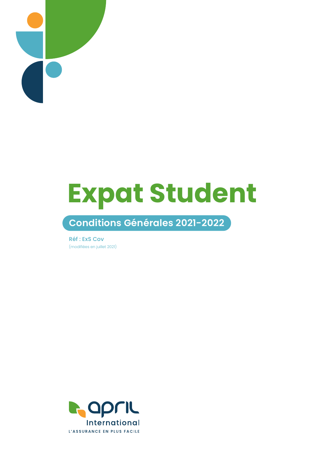

# **Expat Student**

## **Conditions Générales 2021-2022**

Réf : ExS Cov (modifiées en juillet 2021)

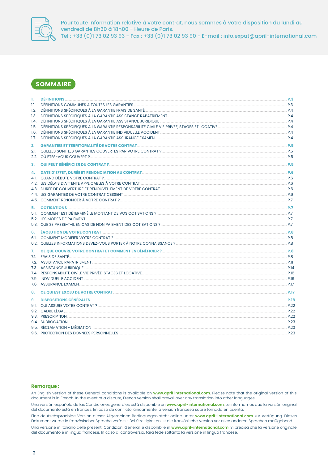

Pour toute information relative à votre contrat, nous sommes à votre disposition du lundi au vendredi de 8h30 à 18h00 - Heure de Paris.<br>Tél : +33 (0)1 73 02 93 93 - Fax : +33 (0)1 73 02 93 90 - E-mail : info.expat@april-international.com

## **SOMMAIRE**

| 1.<br>1.1. |                                                                                                                         |  |
|------------|-------------------------------------------------------------------------------------------------------------------------|--|
|            |                                                                                                                         |  |
|            |                                                                                                                         |  |
|            |                                                                                                                         |  |
|            |                                                                                                                         |  |
| 1.7.       | DÉFINITIONS SPÉCIFIQUES À LA GARANTIE ASSURANCE EXAMEN <b>ENCOLOGICITAL EN CONTRACTE DE LA CONTRACTE DE LA CARANTIE</b> |  |
| 2.         | GARANTIES ET TERRITORIALITÉ DE VOTRE CONTRAT (1999) DE L'ON DE LA CONTRATE DE LA CONTRATE DE LA CONTRATE DE L'          |  |
|            |                                                                                                                         |  |
|            |                                                                                                                         |  |
| 3.         |                                                                                                                         |  |
| 4.         |                                                                                                                         |  |
|            |                                                                                                                         |  |
|            |                                                                                                                         |  |
|            |                                                                                                                         |  |
|            | 4.4. LES GARANTIES DE VOTRE CONTRAT CESSENT <b>EXECUTAD DE LA CONTRAT DE LA CONTRAT DE LA CONTRAT DE LA CONTRAT DE</b>  |  |
|            |                                                                                                                         |  |
| 5.         | <b>COTISATIONS AND RESIDENT REPORT OF A COTISATIONS AND RESIDENT REPORT OF A COTISATIONS AND REPORT OF A CONSUMIN</b>   |  |
|            |                                                                                                                         |  |
|            |                                                                                                                         |  |
|            |                                                                                                                         |  |
| 6.         |                                                                                                                         |  |
|            |                                                                                                                         |  |
|            |                                                                                                                         |  |
| 7.         |                                                                                                                         |  |
|            |                                                                                                                         |  |
|            |                                                                                                                         |  |
|            |                                                                                                                         |  |
|            |                                                                                                                         |  |
|            |                                                                                                                         |  |
| 8.         | CE QUI EST EXCLU DE VOTRE CONTRAT DE LA CONTRATE DE LA CONTRATE DE LA CONTRATE DE LA CONTRATE DE LA CONTRATE D          |  |
|            |                                                                                                                         |  |
| 9.         |                                                                                                                         |  |
|            |                                                                                                                         |  |
|            | 9.2. CADRE LÉGAL CALCHES DE LA CALCA DE LA CALCA DE LA CALCA DE LA CALCA DE LA CALCA DE LA CALCA DE LA CALCA D          |  |
|            |                                                                                                                         |  |
|            |                                                                                                                         |  |
|            |                                                                                                                         |  |
|            |                                                                                                                         |  |

#### **Remarque:**

An English version of these General conditions is available on www.april international.com. Please note that the original version of this document is in French. In the event of a dispute, French version shall prevail over any translation into other languages.

Una versión española de las Condiciones generales está disponible en www.april-international.com. Le informamos que la versión original del documento está en francés. En caso de conflicto, únicamente la versión francesa sobre tomada en cuenta.

Eine deutschsprachige Version dieser Allgemeinen Bedingungen steht online unter www.april-international.com zur Verfügung. Dieses Dokument wurde in französischer Sprache verfasst. Bei Streitigkeiten ist die französische Version vor allen anderen Sprachen maßgebend.

Una versione in italiano delle presenti Condizioni Generali è disponibile in www.april-international.com. Si precisa che la versione originale del documento è in lingua francese. In caso di controversia, farà fede soltanto la versione in lingua francese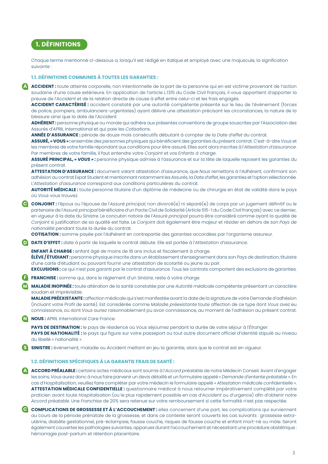## **1. DÉFINITIONS**

Chaque terme mentionné ci-dessous a, lorsqu'il est rédigé en italique et employé avec une majuscule, la signification suivante :

### **1.1. DÉFINITIONS COMMUNES À TOUTES LES GARANTIES :**

**ACCIDENT :** toute atteinte corporelle, non intentionnelle de la part de la personne qui en est victime provenant de l'action soudaine d'une cause extérieure. En application de l'article L.1315 du Code Civil français, il vous appartient d'apporter la preuve de l'*Accident* et de la relation directe de cause à effet entre celui-ci et les frais engagés. **A**

**ACCIDENT CARACTÉRISÉ :** accident constaté par une autorité compétente présente sur le lieu de l'évènement (forces de police, pompiers, ambulanciers-urgentistes) ayant délivré une attestation précisant les circonstances, la nature de la blessure ainsi que la date de l'*Accident*.

**ADHÉRENT :** personne physique ou morale qui adhère aux présentes conventions de groupe souscrites par l'Association des Assurés d'APRIL International et qui paie les *Cotisations*.

**ANNÉE D'ASSURANCE :** période de douze mois consécutifs débutant à compter de la *Date d'effet* du contrat.

**ASSURÉ, « VOUS » :** ensemble des personnes physiques qui bénéficient des garanties du présent contrat. C'est-à-dire *Vous* et les membres de votre famille répondant aux conditions pour être assuré. Elles sont alors inscrites à l'*Attestation d'assurance*. Par membres de votre famille, il faut entendre votre *Conjoint* et vos *Enfants à charge*.

**ASSURÉ PRINCIPAL, «** *VOUS* **» :** personne physique admise à l'assurance et sur la tête de laquelle reposent les garanties du présent contrat.

**ATTESTATION D'ASSURANCE :** document valant attestation d'assurance, que *Nous* remettons à l'*Adhérent*, confirmant son adhésion au contrat Expat Student et mentionnant notamment les *Assurés*, la *Date d'effet*, les garanties et l'option sélectionnée. L'*Attestation d'assurance* correspond aux conditions particulières du contrat.

**AUTORITÉ MÉDICALE :** toute personne titulaire d'un diplôme de médecine ou de chirurgie en état de validité dans le pays où *Vous* vous trouvez.

**CONJOINT :** l'époux ou l'épouse de l'*Assuré principal*, non divorcé(e) ni séparé(e) de corps par un jugement définitif ou le **C** partenaire de l'*Assuré principal* bénéficiaire d'un Pacte Civil de Solidarité (Article 515-1 du Code Civil français) avec ce dernier, en vigueur à la date du *Sinistre*. Le concubin notoire de l'*Assuré principal* pourra être considéré comme ayant la qualité de *Conjoint* si justification de sa qualité est faite. Le *Conjoint* doit également être majeur et résider en dehors de son *Pays de nationalité* pendant toute la durée du contrat.

**COTISATION :** somme payée par l'*Adhérent* en contrepartie des garanties accordées par l'organisme assureur.

**DATE D'EFFET :** date à partir de laquelle le contrat débute. Elle est portée à l'*Attestation d'assurance*. **D**

**ENFANT À CHARGE :** enfant âgé de moins de 18 ans inclus et fiscalement à charge.

**ÉLÈVE / ÉTUDIANT :** personne physique inscrite dans un établissement d'enseignement dans son *Pays de destination*, titulaire d'une carte d'étudiant ou pouvant fournir une attestation de scolarité ou jeune au pair.

**EXCLUSIONS :** ce qui n'est pas garanti par le contrat d'assurance. Tous les contrats comportent des exclusions de garanties. **FRANCHISE :** somme qui, dans le règlement d'un *Sinistre*, reste à votre charge. **F**

**MALADIE INOPINÉE :** toute altération de la santé constatée par une *Autorité médicale* compétente présentant un caractère soudain et imprévisible. **M**

**MALADIE PRÉEXISTANTE :** affection médicale qui s'est manifestée avant la date de la signature de votre Demande d'adhésion (incluant votre Profil de santé). Est considérée comme *Maladie préexistante* toute affection de ce type dont *Vous* avez eu connaissance, ou dont *Vous* auriez raisonnablement pu avoir connaissance, au moment de l'adhésion au présent contrat.

#### **NOUS :** APRIL International Care France. **N**

**PAYS DE DESTINATION :** le pays de résidence où *Vous* séjournez pendant la durée de votre séjour à l'*Étranger*. PAYS DE NATIONALITÉ : le pays qui figure sur votre passeport ou tout autre document officiel d'identité stipulé au niveau du libellé « nationalité ».

**SINISTRE :** événement, maladie ou *Accident* mettant en jeu la garantie, alors que le contrat est en vigueur. **S**

#### **1.2. DÉFINITIONS SPÉCIFIQUES À LA GARANTIE FRAIS DE SANTÉ :**

**ACCORD PRÉALABLE :** certains actes médicaux sont soumis à l'*Accord préalable* de notre Médecin Conseil. Avant d'engager **A** les soins, *Vous* aurez donc à nous faire parvenir un devis détaillé et un formulaire appelé « *Demande d'entente préalable »*. En cas d'*Hospitalisation*, veuillez faire compléter par votre médecin le formulaire appelé « *Attestation médicale confidentielle »*. **ATTESTATION MÉDICALE CONFIDENTIELLE :** questionnaire médical à nous retourner impérativement complété par votre praticien avant toute *Hospitalisation* (ou le plus rapidement possible en cas d'*Accident* ou d'urgence) afin d'obtenir notre *Accord préalable*. Une *Franchise* de 20% sera retenue sur votre remboursement si cette formalité n'est pas respectée.

**COMPLICATIONS DE GROSSESSE ET À L'ACCOUCHEMENT :** elles concernent d'une part, les complications qui surviennent **C** au cours de la période prénatale de la grossesse, et dans ce contexte seront couverts les cas suivants : grossesse extrautérine, diabète gestationnel, pré-éclampsie, fausse couche, risques de fausse couche et enfant mort-né ou môle. Seront également couvertes les pathologies suivantes, apparues durant l'accouchement et nécessitant une procédure obstétrique : hémorragie post-partum et rétention placentaire.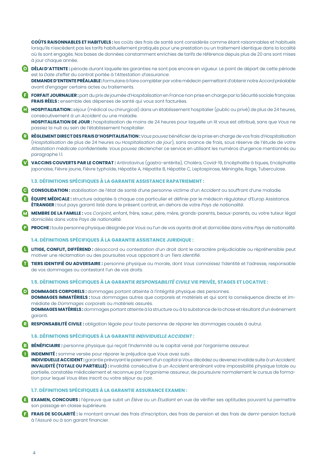**COÛTS RAISONNABLES ET HABITUELS :** les coûts des frais de santé sont considérés comme étant raisonnables et habituels lorsqu'ils n'excèdent pas les tarifs habituellement pratiqués pour une prestation ou un traitement identique dans la localité où ils sont engagés. Nos bases de données constamment enrichies de tarifs de référence depuis plus de 20 ans sont mises à jour chaque année.

- **DÉLAI D'ATTENTE :** période durant laquelle les garanties ne sont pas encore en vigueur. Le point de départ de cette période **D** est la *Date d'effet* du contrat portée à l'*Attestation d'assurance*. **DEMANDE D'ENTENTE PRÉALABLE :** formulaire à faire compléter par votre médecin permettant d'obtenir notre *Accord préalable* avant d'engager certains actes ou traitements.
- **FORFAIT JOURNALIER :** part du prix de journée d'*Hospitalisation* en France non prise en charge par la Sécurité sociale française. **F FRAIS RÉELS :** ensemble des dépenses de santé qui vous sont facturées.
- **HOSPITALISATION :** séjour (médical ou chirurgical) dans un établissement hospitalier (public ou privé) de plus de 24 heures, **H** consécutivement à un *Accident* ou une maladie.

**HOSPITALISATION DE JOUR :** hospitalisation de moins de 24 heures pour laquelle un lit vous est attribué, sans que *Vous* ne passiez la nuit au sein de l'établissement hospitalier.

- **RÈGLEMENT DIRECT DES FRAIS D'HOSPITALISATION :** *Vous* pouvez bénéficier de la prise en charge de vos frais d'*Hospitalisation* (*Hospitalisation* de plus de 24 heures ou *Hospitalisation de jour*), sans avance de frais, sous réserve de l'étude de votre *Attestation médicale confidentielle*. *Vous* pouvez déclencher ce service en utilisant les numéros d'urgence mentionnés au paragraphe 1.1. **R**
- **VACCINS COUVERTS PAR LE CONTRAT :** Antirotavirus (gastro-entérite), Choléra, Covid-19, Encéphalite à tiques, Encéphalite **V** japonaise, Fièvre jaune, Fièvre typhoïde, Hépatite A, Hépatite B, Hépatite C, Leptospirose, Méningite, Rage, Tuberculose.

#### **1.3. DÉFINITIONS SPÉCIFIQUES À LA GARANTIE ASSISTANCE RAPATRIEMENT :**

**CONSOLIDATION :** stabilisation de l'état de santé d'une personne victime d'un *Accident* ou souffrant d'une maladie*.* **C**

- **ÉQUIPE MÉDICALE :** structure adaptée à chaque cas particulier et définie par le médecin régulateur d'Europ Assistance. **E ÉTRANGER :** tout pays garanti listé dans le présent contrat, en dehors de votre *Pays de nationalité*.
- **MEMBRE DE LA FAMILLE :** vos *Conjoint*, enfant, frère, sœur, père, mère, grands-parents, beaux-parents, ou votre tuteur légal domiciliés dans votre *Pays de nationalité*. **M**
- **PROCHE :** toute personne physique désignée par *Vous* ou l'un de vos ayants droit et domiciliée dans votre *Pays de nationalité*. **P**

#### **1.4. DÉFINITIONS SPÉCIFIQUES À LA GARANTIE ASSISTANCE JURIDIQUE :**

**LITIGE, CONFLIT, DIFFÉREND :** désaccord ou contestation d'un droit dont le caractère préjudiciable ou répréhensible peut **L** motiver une réclamation ou des poursuites vous opposant à un *Tiers identifié*.

**TIERS IDENTIFIÉ OU ADVERSAIRE :** personne physique ou morale, dont *Vous* connaissez l'identité et l'adresse, responsable de vos dommages ou contestant l'un de vos droits. **T**

#### **1.5. DÉFINITIONS SPÉCIFIQUES À LA GARANTIE** *RESPONSABILITÉ CIVILE* **VIE PRIVÉE, STAGES ET LOCATIVE :**

- **DOMMAGES CORPORELS :** dommages portant atteinte à l'intégrité physique des personnes. **DOMMAGES IMMATÉRIELS :** tous dommages autres que corporels et matériels et qui sont la conséquence directe et immédiate de *Dommages corporels* ou *matériels* assurés. **DOMMAGES MATÉRIELS :** dommages portant atteinte à la structure ou à la substance de la chose et résultant d'un événement garanti. **D**
- **RESPONSABILITÉ CIVILE :** obligation légale pour toute personne de réparer les dommages causés à autrui. **R**

#### **1.6. DÉFINITIONS SPÉCIFIQUES À LA GARANTIE** *INDIVIDUELLE ACCIDENT* **:**

**BÉNÉFICIAIRE :** personne physique qui reçoit l'*Indemnité* ou le capital versé par l'organisme assureur. **B**

**INDEMNITÉ :** somme versée pour réparer le préjudice que *Vous* avez subi. **I INDIVIDUELLE ACCIDENT :** garantie prévoyant le paiement d'un capital si *Vous* décédez ou devenez invalide suite à un *Accident*. **INVALIDITÉ (TOTALE OU PARTIELLE) :** invalidité consécutive à un *Accident* entraînant votre impossibilité physique totale ou partielle, constatée médicalement et reconnue par l'organisme assureur, de poursuivre normalement le cursus de formation pour lequel *Vous* êtes inscrit ou votre séjour au pair.

#### **1.7. DÉFINITIONS SPÉCIFIQUES À LA GARANTIE ASSURANCE EXAMEN :**

**EXAMEN, CONCOURS :** l'épreuve que subit un *Élève* ou un *Étudiant* en vue de vérifier ses aptitudes pouvant lui permettre **E** son passage en classe supérieure.

**FRAIS DE SCOLARITÉ :** le montant annuel des frais d'inscription, des frais de pension et des frais de demi-pension facturé à l'*Assuré* ou à son garant financier. **F**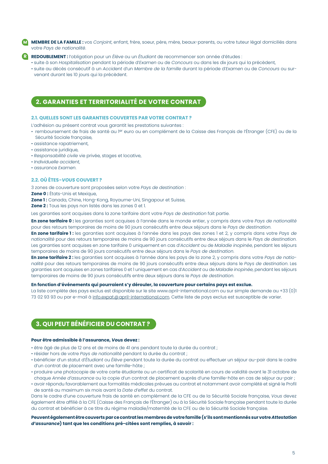**MEMBRE DE LA FAMILLE :** vos *Conjoint*, enfant, frère, soeur, père, mère, beaux-parents, ou votre tuteur légal domiciliés dans votre *Pays de nationalité*. **M**

**REDOUBLEMENT :** l'obligation pour un *Élève* ou un *Étudiant* de recommencer son année d'études : **R**

• suite à son *Hospitalisation* pendant la période d'*Examen* ou de *Concours* ou dans les dix jours qui la précèdent,

• suite au décès consécutif à un *Accident* d'un *Membre de la famille* durant la période d'*Examen* ou de *Concours* ou survenant durant les 10 jours qui la précèdent.

## **2. GARANTIES ET TERRITORIALITÉ DE VOTRE CONTRAT**

#### **2.1. QUELLES SONT LES GARANTIES COUVERTES PAR VOTRE CONTRAT ?**

L'adhésion au présent contrat vous garantit les prestations suivantes :

- remboursement de frais de santé au 1er euro ou en complément de la Caisse des Français de l'Étranger (CFE) ou de la Sécurité Sociale française,
- assistance rapatriement,
- assistance juridique,
- *Responsabilité civile* vie privée, stages et locative,
- *Individuelle accident*,
- assurance *Examen*.

#### **2.2. OÙ ÊTES-***VOUS* **COUVERT ?**

3 zones de couverture sont proposées selon votre *Pays de destination* :

**Zone 0 :** États-Unis et Mexique,

**Zone 1:** Canada, Chine, Hong-Kong, Royaume-Uni, Singapour et Suisse,

**Zone 2 :** Tous les pays non listés dans les zones 0 et 1.

Les garanties sont acquises dans la zone tarifaire dont votre *Pays de destination* fait partie.

**En zone tarifaire 0 :** les garanties sont acquises à l'année dans le monde entier, y compris dans votre *Pays de nationalité*  pour des retours temporaires de moins de 90 jours consécutifs entre deux séjours dans le *Pays de destination*.

**En zone tarifaire 1 :** les garanties sont acquises à l'année dans les pays des zones 1 et 2, y compris dans votre *Pays de nationalité* pour des retours temporaires de moins de 90 jours consécutifs entre deux séjours dans le *Pays de destination*. Les garanties sont acquises en zone tarifaire 0 uniquement en cas d'*Accident* ou de *Maladie inopinée*, pendant les séjours temporaires de moins de 90 jours consécutifs entre deux séjours dans le *Pays de destination*.

**En zone tarifaire 2 :** les garanties sont acquises à l'année dans les pays de la zone 2, y compris dans votre *Pays de nationalité* pour des retours temporaires de moins de 90 jours consécutifs entre deux séjours dans le *Pays de destination*. Les garanties sont acquises en zones tarifaires 0 et 1 uniquement en cas d'*Accident* ou de *Maladie inopinée*, pendant les séjours temporaires de moins de 90 jours consécutifs entre deux séjours dans le *Pays de destination*.

#### **En fonction d'événements qui pourraient s'y dérouler, la couverture pour certains pays est exclue.**

La liste complète des pays exclus est disponible sur le site www.april-international.com ou sur simple demande au +33 (0)1 73 02 93 93 ou par e-mail à info.expat@april-international.com. Cette liste de pays exclus est susceptible de varier.

## **3. QUI PEUT BÉNÉFICIER DU CONTRAT ?**

#### **Pour être admissible à l'assurance,** *Vous* **devez :**

- être âgé de plus de 12 ans et de moins de 41 ans pendant toute la durée du contrat ;
- résider hors de votre *Pays de nationalité* pendant la durée du contrat ;
- bénéficier d'un statut d'*Étudiant* ou *Élève* pendant toute la durée du contrat ou effectuer un séjour au-pair dans le cadre d'un contrat de placement avec une famille-hôte ;
- produire une photocopie de votre carte étudiante ou un certificat de scolarité en cours de validité avant le 31 octobre de chaque *Année d'assurance* ou la copie d'un contrat de placement auprès d'une famille-hôte en cas de séjour au-pair ;
- avoir répondu favorablement aux formalités médicales prévues au contrat et notamment avoir complété et signé le Profil de santé au maximum six mois avant la *Date d'effet* du contrat.

Dans le cadre d'une couverture frais de santé en complément de la CFE ou de la Sécurité Sociale française, *Vous* devez également être affilié à la CFE (Caisse des Français de l'Étranger) ou à la Sécurité Sociale française pendant toute la durée du contrat et bénéficier à ce titre du régime maladie/maternité de la CFE ou de la Sécurité Sociale française.

#### **Peuvent également être couverts par ce contrat les membres de votre famille (s'ils sont mentionnés sur votre** *Attestation d'assurance***) tant que les conditions pré-citées sont remplies, à savoir :**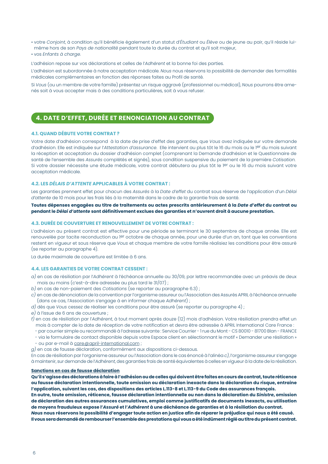- votre *Conjoint*, à condition qu'il bénéficie également d'un statut d'*Étudiant* ou *Élève* ou de jeune au pair, qu'il réside luimême hors de son *Pays de nationalité* pendant toute la durée du contrat et qu'il soit majeur,
- vos *Enfants à charge*.

L'adhésion repose sur vos déclarations et celles de l'*Adhérent* et la bonne foi des parties.

L'adhésion est subordonnée à notre acceptation médicale. *Nous* nous réservons la possibilité de demander des formalités médicales complémentaires en fonction des réponses faites au Profil de santé.

Si *Vous* (ou un membre de votre famille) présentez un risque aggravé (professionnel ou médical), *Nous* pourrons être amenés soit à vous accepter mais à des conditions particulières, soit à vous refuser.

## **4. DATE D'EFFET, DURÉE ET RENONCIATION AU CONTRAT**

#### **4.1. QUAND DÉBUTE VOTRE CONTRAT ?**

Votre date d'adhésion correspond à la date de prise d'effet des garanties, que *Vous* avez indiquée sur votre demande d'adhésion. Elle est indiquée sur l'*Attestation d'assurance*. Elle intervient au plus tôt le 16 du mois ou le 1er du mois suivant la réception et acceptation du dossier d'adhésion complet (comprenant la Demande d'adhésion et le Questionnaire de santé de l'ensemble des *Assurés* complétés et signés), sous condition suspensive du paiement de la première *Cotisation*. Si votre dossier nécessite une étude médicale, votre contrat débutera au plus tôt le <sup>1er</sup> ou le 16 du mois suivant votre acceptation médicale.

#### **4.2. LES** *DÉLAIS D'ATTENTE* **APPLICABLES À VOTRE CONTRAT :**

Les garanties prennent effet pour chacun des *Assurés* à la *Date d'effet* du contrat sous réserve de l'application d'un *Délai d'attente* de 10 mois pour les frais liés à la maternité dans le cadre de la garantie frais de santé.

#### **Toutes dépenses engagées au titre de traitements ou actes prescrits antérieurement à la** *Date d'effet* **du contrat ou pendant le** *Délai d'attente* **sont définitivement exclues des garanties et n'ouvrent droit à aucune prestation.**

#### **4.3. DURÉE DE COUVERTURE ET RENOUVELLEMENT DE VOTRE CONTRAT :**

L'adhésion au présent contrat est effective pour une période se terminant le 30 septembre de chaque année. Elle est renouvelée par tacite reconduction au l<sup>er</sup> octobre de chaque année, pour une durée d'un an, tant que les conventions restent en vigueur et sous réserve que *Vous* et chaque membre de votre famille réalisiez les conditions pour être assuré (se reporter au paragraphe 4).

La durée maximale de couverture est limitée à 6 ans.

#### **4.4. LES GARANTIES DE VOTRE CONTRAT CESSENT :**

- *a)* en cas de résiliation par l'*Adhérent* à l'échéance annuelle au 30/09, par lettre recommandée avec un préavis de deux mois au moins (c'est-à-dire adressée au plus tard le 31/07) ;
- *b)* en cas de non-paiement des *Cotisations* (se reporter au paragraphe 6.3) ;
- *c)* en cas de dénonciation de la convention par l'organisme assureur ou l'Association des Assurés APRIL à l'échéance annuelle (dans ce cas, l'Association s'engage à en informer chaque *Adhérent*) ;
- *d)* dès que *Vous* cessez de réaliser les conditions pour être assuré (se reporter au paragraphe 4) ;
- *e)* à l'issue de 6 ans de couverture ;
- *f)* en cas de résiliation par l'*Adhérent*, à tout moment après douze (12) mois d'adhésion. Votre résiliation prendra effet un mois à compter de la date de réception de votre notification et devra être adressée à APRIL International Care France :
	- par courrier simple ou recommandé à l'adresse suivante : Service Courrier 1 rue du Mont CS 80010 81700 Blan FRANCE
	- via le formulaire de contact disponible depuis votre Espace client en sélectionnant le motif « Demander une résiliation »
	- $\cdot$  ou par e-mail à care@april-international.com ;
- *g)* en cas de fausse déclaration, conformément aux dispositions ci-dessous.

En cas de résiliation par l'organisme assureur ou l'Association dans le cas énoncé à l'alinéa *c)*, l'organisme assureur s'engage à maintenir, sur demande de l'*Adhérent*, des garanties frais de santé équivalentes à celles en vigueur à la date de la résiliation.

#### **Sanctions en cas de fausse déclaration**

**Qu'il s'agisse des déclarations à faire à l'adhésion ou de celles qui doivent être faites en cours de contrat, toute réticence ou fausse déclaration intentionnelle, toute omission ou déclaration inexacte dans la déclaration du risque, entraine l'application, suivant les cas, des dispositions des articles L.113-8 et L.113-9 du Code des assurances français.**

**En outre, toute omission, réticence, fausse déclaration intentionnelle ou non dans la déclaration du** *Sinistre***, omission de déclaration des autres assurances cumulatives, emploi comme justificatifs de documents inexacts, ou utilisation de moyens frauduleux expose l'***Assuré* **et l'***Adhérent* **à une déchéance de garanties et à la résiliation du contrat.** *Nous* **nous réservons la possibilité d'engager toute action en justice afin de réparer le préjudice qui nous a été causé.**

**Il vous sera demandé de rembourser l'ensemble des prestations qui vous a été indûment réglé au titre du présent contrat.**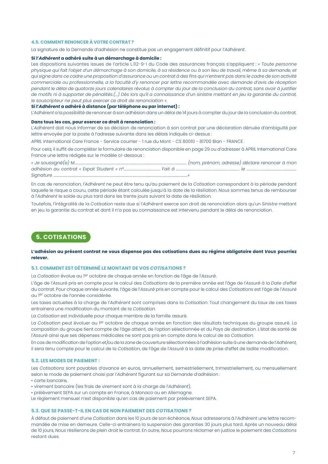#### **4.5. COMMENT RENONCER À VOTRE CONTRAT ?**

La signature de la Demande d'adhésion ne constitue pas un engagement définitif pour l'*Adhérent*.

#### **Si l'***Adhérent* **a adhéré suite à un démarchage à domicile :**

Les dispositions suivantes issues de l'article L.112-9-I du Code des assurances français s'appliquent : *« Toute personne*  physique qui fait l'objet d'un démarchage à son domicile, à sa résidence ou à son lieu de travail, même à sa demande, et *qui signe dans ce cadre une proposition d'assurance ou un contrat à des fins qui n'entrent pas dans le cadre de son activité commerciale ou professionnelle, a la faculté d'y renoncer par lettre recommandée avec demande d'avis de réception pendant le délai de quatorze jours calendaires révolus à compter du jour de la conclusion du contrat, sans avoir à justifier de motifs ni à supporter de pénalités.(...) Dès lors qu'il a connaissance d'un sinistre mettant en jeu la garantie du contrat, le souscripteur ne peut plus exercer ce droit de renonciation ».*

#### **Si l'***Adhérent* **a adhéré à distance (par téléphone ou par internet) :**

L'*Adhérent* a la possibilité de renoncer à son adhésion dans un délai de 14 jours à compter du jour de la conclusion du contrat.

#### **Dans tous les cas, pour exercer ce droit à renonciation :**

L'*Adhérent* doit nous informer de sa décision de renonciation à son contrat par une déclaration dénuée d'ambiguïté par lettre envoyée par la poste à l'adresse suivante dans les délais indiqués ci-dessus :

APRIL International Care France - Service courrier - 1 rue du Mont - CS 80010 - 81700 Blan - FRANCE .

Pour cela, il suffit de compléter le formulaire de renonciation disponible en page 29 ou d'adresser à APRIL International Care France une lettre rédigée sur le modèle ci-dessous :

| « Je soussiané(e) M                      |  | (nom, prénom, adresse) déclare renoncer à mon |  |
|------------------------------------------|--|-----------------------------------------------|--|
| adhésion au contrat « Expat Student » nº |  |                                               |  |
| Sianature                                |  |                                               |  |

En cas de renonciation, l'*Adhérent* ne peut être tenu qu'au paiement de la *Cotisation* correspondant à la période pendant laquelle le risque a couru, cette période étant calculée jusqu'à la date de la résiliation. *Nous* sommes tenus de rembourser à l'*Adhérent* le solde au plus tard dans les trente jours suivant la date de résiliation.

Toutefois, l'intégralité de la *Cotisation* reste due si l'*Adhérent* exerce son droit de renonciation alors qu'un *Sinistre* mettant en jeu la garantie du contrat et dont il n'a pas eu connaissance est intervenu pendant le délai de renonciation.

## **5. COTISATIONS**

#### **L'adhésion au présent contrat ne vous dispense pas des cotisations dues au régime obligatoire dont** *Vous* **pourriez relever.**

#### **5.1. COMMENT EST DÉTERMINÉ LE MONTANT DE VOS** *COTISATIONS* **?**

La *Cotisation* évolue au 1er octobre de chaque année en fonction de l'âge de l'*Assuré*.

L'âge de l'*Assuré* pris en compte pour le calcul des *Cotisations* de la première année est l'âge de l'*Assuré* à la *Date d'effet* du contrat. Pour chaque année suivante, l'âge de l'*Assuré* pris en compte pour le calcul des *Cotisations* est l'âge de l'*Assuré* au 1er octobre de l'année considérée.

Les taxes actuelles à la charge de l'*Adhérent* sont comprises dans la *Cotisation*. Tout changement du taux de ces taxes entrainera une modification du montant de la *Cotisation*.

La *Cotisation* est individuelle pour chaque membre de la famille assuré.

La *Cotisation* peut évoluer au 1er octobre de chaque année en fonction des résultats techniques du groupe assuré. La composition du groupe tient compte de l'âge atteint, de l'option sélectionnée et du *Pays de destination*. L'état de santé de l'*Assuré* ainsi que ses dépenses médicales ne sont pas pris en compte dans le calcul de sa *Cotisation*.

En cas de modification de l'option et/ou de la zone de couverture sélectionnées à l'adhésion suite à une demande de l'*Adhérent*, il sera tenu compte pour le calcul de la *Cotisation*, de l'âge de l'*Assuré* à la date de prise d'effet de ladite modification.

#### **5.2. LES MODES DE PAIEMENT :**

Les *Cotisations* sont payables d'avance en euros, annuellement, semestriellement, trimestriellement, ou mensuellement selon le mode de paiement choisi par l'*Adhérent* figurant sur sa Demande d'adhésion :

- carte bancaire,
- virement bancaire (les frais de virement sont à la charge de l'*Adhérent*),
- prélèvement SEPA sur un compte en France, à Monaco ou en Allemagne.

Le règlement mensuel n'est disponible qu'en cas de paiement par prélèvement SEPA.

#### **5.3. QUE SE PASSE-T-IL EN CAS DE NON PAIEMENT DES** *COTISATIONS* **?**

À défaut de paiement d'une *Cotisation* dans les 10 jours de son échéance, *Nous* adresserons à l'*Adhérent* une lettre recommandée de mise en demeure. Celle-ci entrainera la suspension des garanties 30 jours plus tard. Après un nouveau délai de 10 jours, *Nous* résilierons de plein droit le contrat. En outre, *Nous* pourrons réclamer en justice le paiement des *Cotisations* restant dues.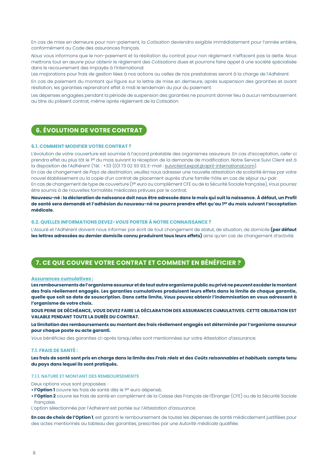En cas de mise en demeure pour non-paiement, la *Cotisation* deviendra exigible immédiatement pour l'année entière, conformément au Code des assurances français.

*Nous* vous informons que le non-paiement et la résiliation du contrat pour non règlement n'effacent pas la dette. *Nous* mettrons tout en œuvre pour obtenir le règlement des *Cotisations* dues et pourrons faire appel à une société spécialisée dans le recouvrement des impayés à l'international.

Les majorations pour frais de gestion liées à nos actions ou celles de nos prestataires seront à la charge de l'*Adhérent*.

En cas de paiement du montant qui figure sur la lettre de mise en demeure, après suspension des garanties et avant résiliation, les garanties reprendront effet à midi le lendemain du jour du paiement.

Les dépenses engagées pendant la période de suspension des garanties ne pourront donner lieu à aucun remboursement au titre du présent contrat, même après règlement de la *Cotisation*.

## **6. ÉVOLUTION DE VOTRE CONTRAT**

#### **6.1. COMMENT MODIFIER VOTRE CONTRAT ?**

L'évolution de votre couverture est soumise à l'accord préalable des organismes assureurs. En cas d'acceptation, celle-ci prendra effet au plus tôt le 1er du mois suivant la réception de la demande de modification. Notre Service Suivi Client est à la disposition de l'*Adhérent* (Tél. : +33 (0)173 02 93 93, E-mail : suiviclient.expat@april-international.com).

En cas de changement de *Pays de destination*, veuillez nous adresser une nouvelle attestation de scolarité émise par votre nouvel établissement ou la copie d'un contrat de placement auprès d'une famille-hôte en cas de séjour au-pair.

En cas de changement de type de couverture (1er euro ou complément CFE ou de la Sécurité Sociale française), *Vous* pourrez être soumis à de nouvelles formalités médicales prévues par le contrat.

**Nouveau-né : la déclaration de naissance doit nous être adressée dans le mois qui suit la naissance. À défaut, un Profil de santé sera demandé et l'adhésion du nouveau-né ne pourra prendre effet qu'au 1er du mois suivant l'acceptation médicale.**

#### **6.2. QUELLES INFORMATIONS DEVEZ-***VOUS* **PORTER À NOTRE CONNAISSANCE ?**

L'*Assuré* et l'*Adhérent* doivent nous informer par écrit de tout changement de statut, de situation, de domicile **(par défaut**  les lettres adressées au dernier domicile connu produiront tous leurs effets) ainsi qu'en cas de changement d'activité.

## **7. CE QUE COUVRE VOTRE CONTRAT ET COMMENT EN BÉNÉFICIER ?**

#### **Assurances cumulatives :**

**Les remboursements de l'organisme assureur et de tout autre organisme public ou privé ne peuvent excéder le montant des frais réellement engagés. Les garanties cumulatives produisent leurs effets dans la limite de chaque garantie, quelle que soit sa date de souscription. Dans cette limite,** *Vous* **pouvez obtenir l'indemnisation en vous adressant à l'organisme de votre choix.**

**SOUS PEINE DE DÉCHÉANCE,** *VOUS* **DEVEZ FAIRE LA DÉCLARATION DES ASSURANCES CUMULATIVES. CETTE OBLIGATION EST VALABLE PENDANT TOUTE LA DURÉE DU CONTRAT.**

**La limitation des remboursements au montant des frais réellement engagés est déterminée par l'organisme assureur pour chaque poste ou acte garanti.**

*Vous* bénéficiez des garanties ci-après lorsqu'elles sont mentionnées sur votre *Attestation d'assurance*.

#### **7.1. FRAIS DE SANTÉ :**

**Les frais de santé sont pris en charge dans la limite des** *Frais réels* **et des** *Coûts raisonnables et habituels* **compte tenu du pays dans lequel ils sont pratiqués.**

#### **7.1.1. NATURE ET MONTANT DES REMBOURSEMENTS**

Deux options vous sont proposées :

- **l'Option 1** couvre les frais de santé dès le 1er euro dépensé,
- **l'Option 2** couvre les frais de santé en complément de la Caisse des Français de l'Étranger (CFE) ou de la Sécurité Sociale française.

L'option sélectionnée par l'*Adhérent* est portée sur l'*Attestation d'assurance*.

**En cas de choix de l'Option 1**, est garanti le remboursement de toutes les dépenses de santé médicalement justifiées pour des actes mentionnés au tableau des garanties, prescrites par une *Autorité médicale* qualifiée.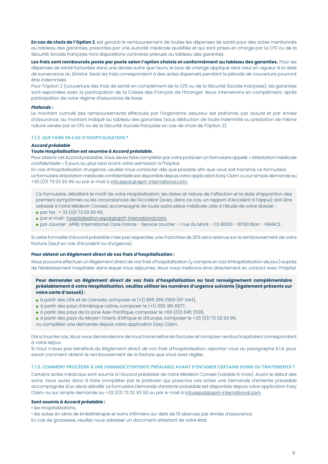**En cas de choix de l'Option 2**, est garanti le remboursement de toutes les dépenses de santé pour des actes mentionnés au tableau des garanties, prescrites par une *Autorité médicale* qualifiée et qui sont prises en charge par la CFE ou de la Sécurité Sociale française hors dispositions contraires prévues au tableau des garanties.

**Les frais sont remboursés poste par poste selon l'option choisie et conformément au tableau des garanties.** Pour les dépenses de santé facturées dans une devise autre que l'euro, le taux de change appliqué sera celui en vigueur à la date de survenance du *Sinistre*. Seuls les frais correspondant à des actes dispensés pendant la période de couverture pourront être indemnisés.

Pour l'Option 2 (couverture des frais de santé en complément de la CFE ou de la Sécurité Sociale française), les garanties sont exprimées avec la participation de la Caisse des Français de l'Etranger. *Nous* intervenons en complément, après participation de votre régime d'assurance de base.

#### *Plafonds :*

Le montant cumulé des remboursements effectués par l'organisme assureur est plafonné, par *Assuré* et par *Année d'assurance*, au montant indiqué au tableau des garanties (sous déduction de toute indemnité ou prestation de même nature versée par la CFE ou de la Sécurité Sociale française en cas de choix de l'Option 2).

#### **7.1.2. QUE FAIRE EN CAS D'***HOSPITALISATION* **?**

#### *Accord préalable*

#### **Toute** *Hospitalisation* **est soumise à** *Accord préalable***.**

Pour obtenir cet *Accord préalable*, *Vous* devez faire compléter par votre praticien un formulaire appelé « *Attestation médicale confidentielle* » 5 jours au plus tard avant votre admission à l'hôpital.

En cas d'*Hospitalisation* d'urgence, veuillez nous contacter dès que possible afin que vous soit transmis ce formulaire. Le formulaire *Attestation médicale confidentielle* est disponible depuis votre application Easy Claim ou sur simple demande au +33 (0)1 73 02 93 99 ou par e-mail à info.expat@april-international.com.

Ce formulaire, détaillant le motif de votre *Hospitalisation*, les dates et nature de l'affection et la date d'apparition des premiers symptômes ou les circonstances de l'*Accident* (avec, dans ce cas, un rapport d'*Accident* à l'appui) doit être adressé à notre Médecin Conseil, accompagné de toute autre pièce médicale utile à l'étude de votre dossier :

- par fax : + 33 (0)1 73 02 93 60,
- par e-mail : hospitalisation.expat@april-international.com,
- par courrier : APRIL International Care France Service courrier 1 rue du Mont CS 80010 81700 Blan FRANCE .

Si cette formalité d'*Accord préalable* n'est pas respectée, une *Franchise* de 20% sera retenue sur le remboursement de votre facture (sauf en cas d'*Accident* ou d'urgence).

#### **Pour obtenir un** *Règlement direct de vos frais d'hospitalisation* **:**

*Nous* pouvons effectuer un *Règlement direct de vos frais d'hospitalisation* (y compris en cas d'*Hospitalisation de jour*) auprès de l'établissement hospitalier dans lequel *Vous* séjournez. *Nous* nous mettrons ainsi directement en contact avec l'hôpital.

#### **Pour demander un** *Règlement direct de vos frais d'hospitalisation* **ou tout renseignement complémentaire préalablement à votre** *Hospitalisation***, veuillez utiliser les numéros d'urgence suivants (également présents sur votre carte d'assuré) :**

- à partir des USA et du Canada, composer le (+1) 866 299 2900 (N° Vert),
- à partir des pays d'Amérique Latine, composer le (+1) 305 381 6977,
- à partir des pays de la zone Asie-Pacifique, composer le +66 (0)2 645 3336,
- à partir des pays du Moyen-Orient, d'Afrique et d'Europe, composer le +33 (0)1 73 02 93 99,

ou compléter une demande depuis votre application Easy Claim.

Dans tous les cas, *Nous* vous demanderons de nous transmettre les factures et comptes-rendus hospitaliers correspondant à votre séjour.

Si *Vous* n'avez pas bénéficié du *Règlement direct de vos frais d'hospitalisation*, reportez-vous au paragraphe 8.1.4. pour savoir comment obtenir le remboursement de la facture que *Vous* avez réglée.

#### **7.1.3. COMMENT PROCÉDER À UNE** *DEMANDE D'ENTENTE PRÉALABLE* **AVANT D'ENTAMER CERTAINS SOINS OU TRAITEMENTS ?**

Certains actes médicaux sont soumis à l'*Accord préalable* de notre Médecin Conseil (valable 6 mois). Avant le début des soins, *Vous* aurez donc à faire compléter par le praticien qui prescrira ces actes une *Demande d'entente préalable* accompagnée d'un devis détaillé. Le formulaire *Demande d'entente préalable* est disponible depuis votre application Easy Claim ou sur simple demande au +33 (0)1 73 02 93 93 ou par e-mail à info.expat@april-international.com.

#### **Sont soumis à** *Accord préalable* **:**

• les *Hospitalisations,*

• les actes en série de kinésithérapie et soins infirmiers au-delà de 10 séances par *Année d'assurance*. En cas de grossesse, veuillez nous adresser un document attestant de votre état.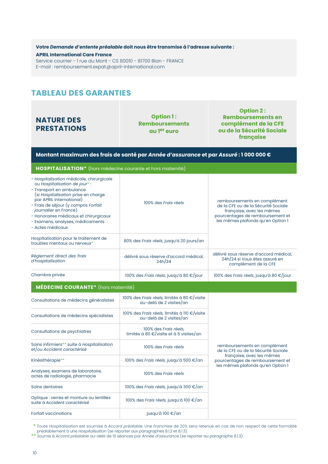**Votre** *Demande d'entente préalable* **doit nous être transmise à l'adresse suivante : APRIL International Care France** Service courrier - 1 rue du Mont - CS 80010 - 81700 Blan - FRANCE E-mail : remboursement.expat@april-international.com

## **TABLEAU DES GARANTIES**

## **NATURE DES PRESTATIONS**

**Option 1 : Remboursements au 1er euro**

**Option 2 : Remboursements en complément de la CFE ou de la Sécurité Sociale française**

| Montant maximum des frais de santé par Année d'assurance et par Assuré : 1 000 000 €                                                                                                                                                                                                                                                             |                                                                         |                                                                                                                                                                           |  |  |  |  |  |
|--------------------------------------------------------------------------------------------------------------------------------------------------------------------------------------------------------------------------------------------------------------------------------------------------------------------------------------------------|-------------------------------------------------------------------------|---------------------------------------------------------------------------------------------------------------------------------------------------------------------------|--|--|--|--|--|
| HOSPITALISATION* (hors médecine courante et hors maternité)                                                                                                                                                                                                                                                                                      |                                                                         |                                                                                                                                                                           |  |  |  |  |  |
| - Hospitalisation médicale, chirurgicale<br>ou Hospitalisation de jour*:<br>- Transport en ambulance<br>(si Hospitalisation prise en charge<br>par APRIL International)<br>- Frais de séjour (y compris Forfait<br><i>journalier</i> en France)<br>- Honoraires médicaux et chirurgicaux<br>- Examens, analyses, médicaments<br>- Actes médicaux | 100% des Frais réels                                                    | remboursements en complément<br>de la CFE ou de la Sécurité Sociale<br>française, avec les mêmes<br>pourcentages de remboursement et<br>les mêmes plafonds qu'en Option 1 |  |  |  |  |  |
| Hospitalisation pour le traitement de<br>troubles mentaux ou nerveux*                                                                                                                                                                                                                                                                            | 80% des Frais réels, jusqu'à 20 jours/an                                |                                                                                                                                                                           |  |  |  |  |  |
| Règlement direct des frais<br>d'hospitalisation                                                                                                                                                                                                                                                                                                  | délivré sous réserve d'accord médical,<br>24h/24                        | délivré sous réserve d'accord médical,<br>24h/24 si Vous êtes assuré en<br>complément de la CFE                                                                           |  |  |  |  |  |
| Chambre privée                                                                                                                                                                                                                                                                                                                                   | 100% des Frais réels, jusqu'à 80 €/jour                                 | 100% des Frais réels, jusqu'à 80 €/jour                                                                                                                                   |  |  |  |  |  |
| <b>MÉDECINE COURANTE*</b> (hors maternité)                                                                                                                                                                                                                                                                                                       |                                                                         |                                                                                                                                                                           |  |  |  |  |  |
| Consultations de médecins généralistes                                                                                                                                                                                                                                                                                                           | 100% des Frais réels, limités à 80 €/visite<br>au-delà de 2 visites/an  |                                                                                                                                                                           |  |  |  |  |  |
| Consultations de médecins spécialistes                                                                                                                                                                                                                                                                                                           | 100% des Frais réels, limités à 110 €/visite<br>au-delà de 2 visites/an |                                                                                                                                                                           |  |  |  |  |  |
| Consultations de psychiatres                                                                                                                                                                                                                                                                                                                     | 100% des Frais réels,<br>limités à 80 €/visite et à 5 visites/an        |                                                                                                                                                                           |  |  |  |  |  |
| Soins infirmiers** suite à Hospitalisation<br>et/ou Accident caractérisé                                                                                                                                                                                                                                                                         | 100% des Frais réels                                                    | remboursements en complément<br>de la CFE ou de la Sécurité Sociale                                                                                                       |  |  |  |  |  |
| Kinésithérapie**                                                                                                                                                                                                                                                                                                                                 | 100% des Frais réels, jusqu'à 500 €/an                                  | française, avec les mêmes<br>pourcentages de remboursement et                                                                                                             |  |  |  |  |  |
| Analyses, examens de laboratoire,<br>actes de radiologie, pharmacie                                                                                                                                                                                                                                                                              | 100% des Frais réels                                                    | les mêmes plafonds qu'en Option 1                                                                                                                                         |  |  |  |  |  |
| Soins dentaires                                                                                                                                                                                                                                                                                                                                  | 100% des Frais réels, jusqu'à 300 €/an                                  |                                                                                                                                                                           |  |  |  |  |  |
| Optique : verres et monture ou lentilles<br>suite à Accident caractérisé                                                                                                                                                                                                                                                                         | 100% des Frais réels, jusqu'à 100 €/an                                  |                                                                                                                                                                           |  |  |  |  |  |
| Forfait vaccinations                                                                                                                                                                                                                                                                                                                             | jusqu'à 100 €/an                                                        |                                                                                                                                                                           |  |  |  |  |  |

\*\* Toute *Hospitalisation* est soumise à *Accord préalable*. Une *Franchise* de 20% sera retenue en cas de non respect de cette formalité préalablement à une *Hospitalisation* (se reporter aux paragraphes 8.1.2 et 8.1.3).

\*\* Soumis à *Accord préalable* au-delà de 10 séances par *Année d'assurance* (se reporter au paragraphe 8.1.3).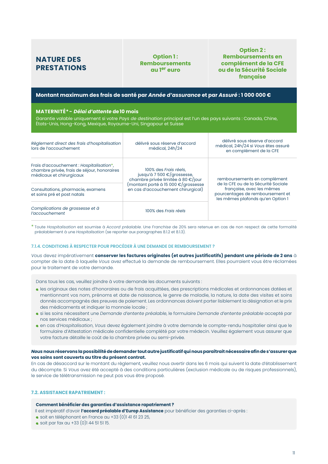## **NATURE DES PRESTATIONS**

#### **Option 1: Remboursements au 1er euro**

**Option 2 : Remboursements en complément de la CFE ou de la Sécurité Sociale française**

#### **Montant maximum des frais de santé par** *Année d'assurance* **et par** *Assuré* **: 1 000 000 €**

#### **MATERNITÉ\*-** *Délai d'attente* **de 10 mois**

Garantie valable uniquement si votre *Pays de destination* principal est l'un des pays suivants : Canada, Chine, États-Unis, Hong-Kong, Mexique, Royaume-Uni, Singapour et Suisse

| Règlement direct des frais d'hospitalisation<br>lors de l'accouchement                                              | délivré sous réserve d'accord<br>médical, 24h/24                                          | délivré sous réserve d'accord<br>médical, 24h/24 si Vous êtes assuré<br>en complément de la CFE                                           |  |  |
|---------------------------------------------------------------------------------------------------------------------|-------------------------------------------------------------------------------------------|-------------------------------------------------------------------------------------------------------------------------------------------|--|--|
| Frais d'accouchement : Hospitalisation*,<br>chambre privée, frais de séjour, honoraires<br>médicaux et chirurgicaux | 100% des Frais réels.<br>jusqu'à 7 500 €/grossesse,<br>chambre privée limitée à 80 €/jour | remboursements en complément                                                                                                              |  |  |
| Consultations, pharmacie, examens<br>et soins pré et post natals                                                    | (montant porté à 15 000 €/grossesse<br>en cas d'accouchement chirurgical)                 | de la CFE ou de la Sécurité Sociale<br>française, avec les mêmes<br>pourcentages de remboursement et<br>les mêmes plafonds qu'en Option 1 |  |  |
| Complications de grossesse et à<br>l'accouchement                                                                   | 100% des Frais réels                                                                      |                                                                                                                                           |  |  |

\* Toute *Hospitalisation* est soumise à *Accord préalable*. Une *Franchise* de 20% sera retenue en cas de non respect de cette formalité préalablement à une *Hospitalisation* (se reporter aux paragraphes 8.1.2 et 8.1.3).

#### **7.1.4. CONDITIONS À RESPECTER POUR PROCÉDER À UNE DEMANDE DE REMBOURSEMENT ?**

*Vous* devez impérativement **conserver les factures originales (et autres justificatifs) pendant une période de 2 ans** à compter de la date à laquelle *Vous* avez effectué la demande de remboursement. Elles pourraient vous être réclamées pour le traitement de votre demande.

Dans tous les cas, veuillez joindre à votre demande les documents suivants :

- les originaux des notes d'honoraires ou de frais acquittées, des prescriptions médicales et ordonnances datées et mentionnant vos nom, prénoms et date de naissance, le genre de maladie, la nature, la date des visites et soins donnés accompagnés des preuves de paiement. Les ordonnances doivent porter lisiblement la désignation et le prix des médicaments et indiquer la monnaie locale ;
- si les soins nécessitent une *Demande d'entente préalable*, le formulaire *Demande d'entente préalable* accepté par nos services médicaux ;
- en cas d'*Hospitalisation*, *Vous* devez également joindre à votre demande le compte-rendu hospitalier ainsi que le formulaire d'Attestation médicale confidentielle complété par votre médecin. Veuillez également vous assurer que votre facture détaille le coût de la chambre privée ou semi-privée.

#### *Nous* **nous réservons la possibilité de demander tout autre justificatif qui nous paraîtrait nécessaire afin de s'assurer que vos soins sont couverts au titre du présent contrat.**

En cas de désaccord sur le montant du règlement, veuillez nous avertir dans les 6 mois qui suivent la date d'établissement du décompte. Si *Vous* avez été accepté à des conditions particulières (exclusion médicale ou de risques professionnels), le service de télétransmission ne peut pas vous être proposé.

#### **7.2. ASSISTANCE RAPATRIEMENT :**

#### **Comment bénéficier des garanties d'assistance rapatriement ?**

Il est impératif d'avoir **l'accord préalable d'Europ Assistance** pour bénéficier des garanties ci-après :

- soit en téléphonant en France au +33 (0)1 41 61 23 25,
- soit par fax au +33 (0)1 44 51 51 15.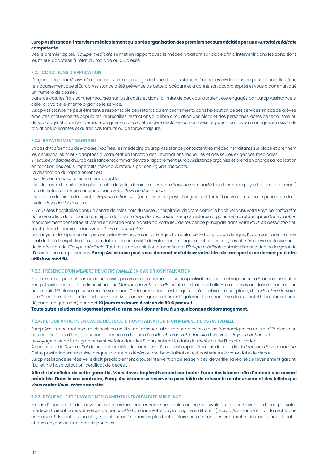#### **Europ Assistance n'intervient médicalement qu'après organisation des premiers secours décidée par une** *Autorité médicale* **compétente.**

Dès le premier appel, l'*Équipe médicale* se met en rapport avec le médecin traitant sur place afin d'intervenir dans les conditions les mieux adaptées à l'état du malade ou du blessé.

#### **7.2.1. CONDITIONS D'APPLICATION**

L'organisation par *Vous*-même ou par votre entourage de l'une des assistances énoncées ci-dessous ne peut donner lieu à un remboursement que si Europ Assistance a été prévenue de cette procédure et a donné son accord exprès et vous a communiqué un numéro de dossier.

Dans ce cas, les frais sont remboursés sur justificatifs et dans la limite de ceux qui auraient été engagés par Europ Assistance si celle-ci avait elle-même organisé le service.

Europ Assistance ne peut être tenue responsable des retards ou empêchements dans l'exécution de ses services en cas de grèves, émeutes, mouvements populaires, représailles, restrictions à la libre circulation des biens et des personnes, actes de terrorisme ou de sabotage, état de belligérance, de guerre civile ou étrangère déclarée ou non, désintégration du noyau atomique, émission de radiations ionisantes et autres cas fortuits ou de force majeure.

#### **7.2.2. RAPATRIEMENT SANITAIRE**

En cas d'*Accident* ou de *Maladie inopinée*, les médecins d'Europ Assistance contactent les médecins traitants sur place et prennent les décisions les mieux adaptées à votre état en fonction des informations recueillies et des seules exigences médicales.

Si l'*Équipe médicale* d'Europ Assistance recommande votre rapatriement, Europ Assistance organise et prend en charge sa réalisation en fonction des seuls impératifs médicaux retenus par son *Équipe médicale*.

La destination du rapatriement est :

- soit le centre hospitalier le mieux adapté,
- soit le centre hospitalier le plus proche de votre domicile dans votre *Pays de nationalité* (ou dans votre pays d'origine si différent) ou de votre résidence principale dans votre *Pays de destination*,
- soit votre domicile dans votre *Pays de nationalité* (ou dans votre pays d'origine si différent) ou votre résidence principale dans votre *Pays de destination*.

Si *Vous* êtes hospitalisé dans un centre de soins hors du secteur hospitalier de votre domicile habituel dans votre *Pays de nationalité* ou de votre lieu de résidence principale dans votre *Pays de destination*, Europ Assistance organise votre retour après *Consolidation*  médicalement constatée et prend en charge votre transfert à votre lieu de résidence principale dans votre *Pays de destination* ou à votre lieu de domicile dans votre *Pays de nationalité*.

Les moyens de rapatriement peuvent être le véhicule sanitaire léger, l'ambulance, le train, l'avion de ligne, l'avion sanitaire. Le choix final du lieu d'hospitalisation, de la date, de la nécessité de votre accompagnement et des moyens utilisés relève exclusivement de la décision de l'*Équipe médicale*. Tout refus de la solution proposée par l'*Équipe médicale* entraîne l'annulation de la garantie d'assistance aux personnes. **Europ Assistance peut vous demander d'utiliser votre titre de transport si ce dernier peut être utilisé ou modifié.**

#### **7.2.3. PRÉSENCE D'UN** *MEMBRE DE VOTRE FAMILLE* **EN CAS D'HOSPITALISATION**

Si votre état ne permet pas ou ne nécessite pas votre rapatriement et si l'hospitalisation locale est supérieure à 6 jours consécutifs, Europ Assistance met à la disposition d'un *Membre de votre famille* un titre de transport aller-retour en avion classe économique ou en train 1ère classe pour se rendre sur place. Cette prestation n'est acquise qu'en l'absence, sur place, d'un *Membre de votre famille* en âge de majorité juridique. Europ Assistance organise et prend également en charge ses frais d'hôtel (chambre et petit déjeuner uniquement) pendant **10 jours maximum à raison de 80 € par nuit.**

**Toute autre solution de logement provisoire ne peut donner lieu à un quelconque dédommagement.**

#### **7.2.4. RETOUR ANTICIPÉ EN CAS DE DÉCÈS OU D'HOSPITALISATION D'UN** *MEMBRE DE VOTRE FAMILLE*

Europ Assistance met à votre disposition un titre de transport aller-retour en avion classe économique ou en train 1ère classe en cas de décès ou d'hospitalisation supérieure à 5 jours d'un *Membre de votre famille* dans votre *Pays de nationalité*.

Le voyage aller doit obligatoirement se faire dans les 8 jours suivant la date du décès ou de l'hospitalisation.

À compter de la *Date d'effet* du contrat, un délai de carence de 6 mois est appliqué en cas de maladie du *Membre de votre famille*. Cette prestation est acquise lorsque la date du décès ou de l'hospitalisation est postérieure à votre date de départ.

Europ Assistance se réserve le droit, préalablement à toute intervention de ses services, de vérifier la réalité de l'événement garanti (bulletin d'hospitalisation, certificat de décès…).

#### **Afin de bénéficier de cette garantie,** *Vous* **devez impérativement contacter Europ Assistance afin d'obtenir son accord préalable. Dans le cas contraire, Europ Assistance se réserve la possibilité de refuser le remboursement des billets que**  *Vous* **auriez** *Vous***-même achetés.**

#### **7.2.5. RECHERCHE ET ENVOI DE MÉDICAMENTS INTROUVABLES SUR PLACE**

En cas d'impossibilité de trouver sur place les médicaments indispensables, ou leurs équivalents, prescrits avant le départ par votre médecin traitant dans votre *Pays de nationalité* (ou dans votre pays d'origine si différent), Europ Assistance en fait la recherche en France. S'ils sont disponibles, ils sont expédiés dans les plus brefs délais sous réserve des contraintes des législations locales et des moyens de transport disponibles.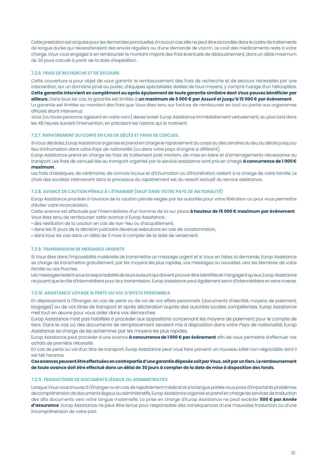Cette prestation est acquise pour les demandes ponctuelles. En aucun cas, elle ne peut être accordée dans le cadre de traitements de longue durée qui nécessiteraient des envois réguliers ou d'une demande de vaccin. Le coût des médicaments reste à votre charge. *Vous* vous engagez à en rembourser le montant majoré des frais éventuels de dédouanement, dans un délai maximum de 30 jours calculé à partir de la date d'expédition.

#### **7.2.6. FRAIS DE RECHERCHE ET DE SECOURS**

Cette couverture a pour objet de vous garantir le remboursement des frais de recherche et de secours nécessités par une intervention, sur un domaine privé ou public, d'équipes spécialisées dotées de tous moyens, y compris l'usage d'un hélicoptère.

**Cette garantie intervient en complément ou après épuisement de toute garantie similaire dont** *Vous* **pouvez bénéficier par ailleurs.** Dans tous les cas, la garantie est limitée à **un maximum de 5 000 € par** *Assuré* **et jusqu'à 15 000 € par événement**.

La garantie est limitée au montant des frais que *Vous* êtes tenu sur facture de rembourser en tout ou partie aux organismes officiels étant intervenus.

*Vous* (ou toute personne agissant en votre nom) devez aviser Europ Assistance immédiatement verbalement, au plus tard dans les 48 heures suivant l'intervention, en précisant les raisons qui la motivent.

#### **7.2.7. RAPATRIEMENT DU CORPS EN CAS DE DÉCÈS ET FRAIS DE CERCUEIL**

Si *Vous* décédez, Europ Assistance organise et prend en charge le rapatriement du corps ou des cendres du lieu du décès jusqu'au lieu d'inhumation dans votre *Pays de nationalité* (ou dans votre pays d'origine si différent).

Europ Assistance prend en charge les frais de traitement post mortem, de mise en bière et d'aménagements nécessaires au transport. Les frais de cercueil liés au transport organisé par le service assistance sont pris en charge **à concurrence de 1 000 € maximum**.

Les frais d'obsèques, de cérémonie, de convois locaux et d'inhumation ou d'incinération restent à la charge de votre famille. Le choix des sociétés intervenant dans le processus du rapatriement est du ressort exclusif du service assistance.

#### **7.2.8. AVANCE DE CAUTION PÉNALE À L'***ÉTRANGER* **(SAUF DANS VOTRE** *PAYS DE NATIONALITÉ***)**

Europ Assistance procède à l'avance de la caution pénale exigée par les autorités pour votre libération ou pour vous permettre d'éviter votre incarcération.

Cette avance est effectuée par l'intermédiaire d'un homme de loi sur place **à hauteur de 15 000 € maximum par événement**. *Vous* êtes tenu de rembourser cette avance à Europ Assistance :

- dès restitution de la caution en cas de non-lieu ou d'acquittement,
- dans les 15 jours de la décision judiciaire devenue exécutoire en cas de condamnation,
- dans tous les cas dans un délai de 3 mois à compter de la date de versement.

#### **7.2.9. TRANSMISSION DE MESSAGES URGENTS**

Si *Vous* êtes dans l'impossibilité matérielle de transmettre un message urgent et si *Vous* en faites la demande, Europ Assistance se charge de transmettre gratuitement, par les moyens les plus rapides, vos messages ou nouvelles vers les *Membres de votre famille* ou vos *Proches*.

Les messages restent sous la responsabilité de leurs auteurs qui doivent pouvoir être identifiés et n'engagent qu'eux, Europ Assistance ne jouant que le rôle d'intermédiaire pour leur transmission. Europ Assistance peut également servir d'intermédiaire en sens inverse.

#### **7.2.10. ASSISTANCE VOYAGE SI PERTE OU VOL D'EFFETS PERSONNELS**

En déplacement à l'*Étranger*, en cas de perte ou de vol de vos effets personnels (documents d'identité, moyens de paiement, bagages) ou de vos titres de transport et après déclaration auprès des autorités locales compétentes, Europ Assistance met tout en œuvre pour vous aider dans vos démarches.

Europ Assistance n'est pas habilitée à procéder aux oppositions concernant les moyens de paiement pour le compte de tiers. Dans le cas où des documents de remplacement seraient mis à disposition dans votre *Pays de nationalité*, Europ Assistance se charge de les acheminer par les moyens les plus rapides.

Europ Assistance peut procéder à une avance **à concurrence de 1000 € par événement** afin de vous permettre d'effectuer vos achats de première nécessité.

En cas de perte ou vol d'un titre de transport, Europ Assistance peut vous faire parvenir un nouveau billet non négociable dont il est fait l'avance.

**Ces avances peuvent être effectuées en contrepartie d'une garantie déposée soit par** *Vous***, soit par un tiers. Le remboursement de toute avance doit être effectué dans un délai de 30 jours à compter de la date de mise à disposition des fonds.**

#### **7.2.11. TRADUCTIONS DE DOCUMENTS LÉGAUX OU ADMINISTRATIFS**

Lorsque *Vous* vous trouvez à l'*Étranger* ou en cas de rapatriement médical et si la langue parlée vous pose d'importants problèmes de compréhension de documents légaux ou administratifs, Europ Assistance organise et prend en charge les services de traduction des dits documents vers votre langue maternelle. La prise en charge d'Europ Assistance ne peut excéder **500 € par** *Année d'assurance*. Europ Assistance ne peut être tenue pour responsable des conséquences d'une mauvaise traduction ou d'une incompréhension de votre part.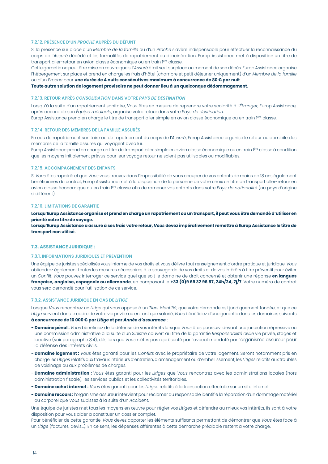#### **7.2.12. PRÉSENCE D'UN** *PROCHE* **AUPRÈS DU DÉFUNT**

Si la présence sur place d'un *Membre de la famille* ou d'un *Proche* s'avère indispensable pour effectuer la reconnaissance du corps de l'*Assuré* décédé et les formalités de rapatriement ou d'incinération, Europ Assistance met à disposition un titre de transport aller-retour en avion classe économique ou en train 1ère classe.

Cette garantie ne peut être mise en œuvre que si l'*Assuré* était seul sur place au moment de son décès. Europ Assistance organise l'hébergement sur place et prend en charge les frais d'hôtel (chambre et petit déjeuner uniquement) d'un *Membre de la famille*  ou d'un *Proche* pour **une durée de 4 nuits consécutives maximum à concurrence de 80 € par nuit**.

**Toute autre solution de logement provisoire ne peut donner lieu à un quelconque dédommagement**.

#### **7.2.13. RETOUR APRÈS** *CONSOLIDATION* **DANS VOTRE** *PAYS DE DESTINATION*

Lorsqu'à la suite d'un rapatriement sanitaire, *Vous* êtes en mesure de reprendre votre scolarité à l'*Étranger*, Europ Assistance, après accord de son *Équipe médicale*, organise votre retour dans votre *Pays de destination.* Europ Assistance prend en charge le titre de transport aller simple en avion classe économique ou en train 1ère classe.

#### **7.2.14. RETOUR DES MEMBRES DE LA FAMILLE ASSURÉS**

En cas de rapatriement sanitaire ou de rapatriement du corps de l'*Assuré*, Europ Assistance organise le retour au domicile des membres de la famille assurés qui voyagent avec lui.

Europ Assistance prend en charge un titre de transport aller simple en avion classe économique ou en train 1ère classe à condition que les moyens initialement prévus pour leur voyage retour ne soient pas utilisables ou modifiables.

#### **7.2.15. ACCOMPAGNEMENT DES ENFANTS**

Si *Vous* êtes rapatrié et que *Vous* vous trouvez dans l'impossibilité de vous occuper de vos enfants de moins de 18 ans également bénéficiaires du contrat, Europ Assistance met à la disposition de la personne de votre choix un titre de transport aller-retour en avion classe économique ou en train 1ère classe afin de ramener vos enfants dans votre *Pays de nationalité* (ou pays d'origine si différent)*.*

#### **7.2.16. LIMITATIONS DE GARANTIE**

**Lorsqu'Europ Assistance organise et prend en charge un rapatriement ou un transport, il peut vous être demandé d'utiliser en priorité votre titre de voyage.**

**Lorsqu'Europ Assistance a assuré à ses frais votre retour,** *Vous* **devez impérativement remettre à Europ Assistance le titre de transport non utilisé.**

#### **7.3. ASSISTANCE JURIDIQUE :**

#### **7.3.1. INFORMATIONS JURIDIQUES ET PRÉVENTION**

Une équipe de juristes spécialisés vous informe de vos droits et vous délivre tout renseignement d'ordre pratique et juridique. *Vous* obtiendrez également toutes les mesures nécessaires à la sauvegarde de vos droits et de vos intérêts à titre préventif pour éviter un *Conflit*. *Vous* pouvez interroger ce service quel que soit le domaine de droit concerné et obtenir une réponse **en langues française, anglaise, espagnole ou allemande**, en composant le **+33 (0)9 69 32 96 87, 24h/24, 7j/7**. Votre numéro de contrat vous sera demandé pour l'utilisation de ce service.

#### **7.3.2. ASSISTANCE JURIDIQUE EN CAS DE** *LITIGE*

Lorsque *Vous* rencontrez un *Litige* qui vous oppose à un *Tiers identifié*, que votre demande est juridiquement fondée, et que ce *Litige* survient dans le cadre de votre vie privée ou en tant que salarié, *Vous* bénéficiez d'une garantie dans les domaines suivants **à concurrence de 16 000 € par** *Litige* **et par** *Année d'assurance* :

- **Domaine pénal :** *Vous* bénéficiez de la défense de vos intérêts lorsque *Vous* êtes poursuivi devant une juridiction répressive ou une commission administrative à la suite d'un *Sinistre* couvert au titre de la garantie *Responsabilité civile* vie privée, stages et locative (voir paragraphe 8.4), dès lors que *Vous* n'êtes pas représenté par l'avocat mandaté par l'organisme assureur pour la défense des intérêts civils.
- **Domaine logement :** *Vous* êtes garanti pour les *Conflits* avec le propriétaire de votre logement. Seront notamment pris en charge les *Litiges* relatifs aux travaux intérieurs d'entretien, d'aménagement ou d'embellissement, les *Litiges* relatifs aux troubles de voisinage ou aux problèmes de charges.
- **Domaine administration :** *Vous* êtes garanti pour les *Litiges* que *Vous* rencontrez avec les administrations locales (hors administration fiscale), les services publics et les collectivités territoriales.
- **Domaine achat internet :** *Vous* êtes garanti pour les *Litiges* relatifs à la transaction effectuée sur un site internet.
- **Domaine recours :** l'organisme assureur intervient pour réclamer au responsable identifié la réparation d'un dommage matériel ou corporel que *Vous* subissez à la suite d'un *Accident*.

Une équipe de juristes met tous les moyens en œuvre pour régler vos *Litiges* et défendre au mieux vos intérêts. Ils sont à votre disposition pour vous aider à constituer un dossier complet.

Pour bénéficier de cette garantie, *Vous* devez apporter les éléments suffisants permettant de démontrer que *Vous* êtes face à un *Litige* (factures, devis…). En ce sens, les dépenses afférentes à cette démarche préalable restent à votre charge.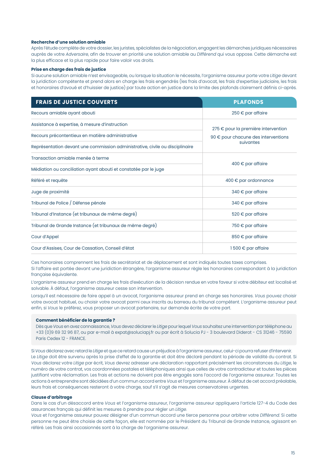#### **Recherche d'une solution amiable**

Après l'étude complète de votre dossier, les juristes, spécialistes de la négociation, engagent les démarches juridiques nécessaires auprès de votre *Adversaire*, afin de trouver en priorité une solution amiable au *Différend* qui vous oppose. Cette démarche est la plus efficace et la plus rapide pour faire valoir vos droits.

#### **Prise en charge des frais de justice**

Si aucune solution amiable n'est envisageable, ou lorsque la situation le nécessite, l'organisme assureur porte votre *Litige* devant la juridiction compétente et prend alors en charge les frais engendrés (les frais d'avocat, les frais d'expertise judiciaire, les frais et honoraires d'avoué et d'huissier de justice) par toute action en justice dans la limite des plafonds clairement définis ci-après.

| <b>FRAIS DE JUSTICE COUVERTS</b>                                             | <b>PLAFONDS</b>                              |  |  |  |
|------------------------------------------------------------------------------|----------------------------------------------|--|--|--|
| Recours amiable ayant abouti                                                 | $250 \epsilon$ par affaire                   |  |  |  |
| Assistance à expertise, à mesure d'instruction                               | 275 € pour la première intervention          |  |  |  |
| Recours précontentieux en matière administrative                             | 90 $\epsilon$ pour chacune des interventions |  |  |  |
| Représentation devant une commission administrative, civile ou disciplinaire | suivantes                                    |  |  |  |
| Transaction amiable menée à terme                                            |                                              |  |  |  |
| Médiation ou conciliation ayant abouti et constatée par le juge              | 400 $\epsilon$ par affaire                   |  |  |  |
| Référé et requête                                                            | 400 € par ordonnance                         |  |  |  |
| Juge de proximité                                                            | 340 € par affaire                            |  |  |  |
| Tribunal de Police / Défense pénale                                          | 340 € par affaire                            |  |  |  |
| Tribunal d'Instance (et tribunaux de même degré)                             | 520 € par affaire                            |  |  |  |
| Tribunal de Grande Instance (et tribunaux de même degré)                     | 750 € par affaire                            |  |  |  |
| Cour d'Appel                                                                 | 850 € par affaire                            |  |  |  |
| Cour d'Assises, Cour de Cassation, Conseil d'état                            | 1500 € par affaire                           |  |  |  |

Ces honoraires comprennent les frais de secrétariat et de déplacement et sont indiqués toutes taxes comprises. Si l'affaire est portée devant une juridiction étrangère, l'organisme assureur règle les honoraires correspondant à la juridiction française équivalente.

L'organisme assureur prend en charge les frais d'exécution de la décision rendue en votre faveur si votre débiteur est localisé et solvable. À défaut, l'organisme assureur cesse son intervention.

Lorsqu'il est nécessaire de faire appel à un avocat, l'organisme assureur prend en charge ses honoraires. *Vous* pouvez choisir votre avocat habituel, ou choisir votre avocat parmi ceux inscrits au barreau du tribunal compétent. L'organisme assureur peut enfin, si *Vous* le préférez, vous proposer un avocat partenaire, sur demande écrite de votre part.

#### **Comment bénéficier de la garantie ?**

Dès que *Vous* en avez connaissance, *Vous* devez déclarer le *Litige* pour lequel *Vous* souhaitez une intervention par téléphone au +33 (0)9 69 32 96 87, ou par e-mail à expat@soluciapj.fr ou par écrit à Solucia PJ - 3 boulevard Diderot - CS 31246 - 75590 Paris Cedex 12 - FRANCE.

Si *Vous* déclarez avec retard le *Litige* et que ce retard cause un préjudice à l'organisme assureur, celui-ci pourra refuser d'intervenir. Le *Litige* doit être survenu après la prise d'effet de la garantie et doit être déclaré pendant la période de validité du contrat. Si *Vous* déclarez votre *Litige* par écrit, *Vous* devrez adresser une déclaration rapportant précisément les circonstances du *Litige*, le numéro de votre contrat, vos coordonnées postales et téléphoniques ainsi que celles de votre contradicteur et toutes les pièces justifiant votre réclamation. Les frais et actions ne doivent pas être engagés sans l'accord de l'organisme assureur. Toutes les actions à entreprendre sont décidées d'un commun accord entre *Vous* et l'organisme assureur. À défaut de cet accord préalable, leurs frais et conséquences resteront à votre charge, sauf s'il s'agit de mesures conservatoires urgentes.

#### **Clause d'arbitrage**

Dans le cas d'un désaccord entre *Vous* et l'organisme assureur, l'organisme assureur appliquera l'article 127-4 du Code des assurances français qui définit les mesures à prendre pour régler un *Litige*.

*Vous* et l'organisme assureur pouvez désigner d'un commun accord une tierce personne pour arbitrer votre *Différend*. Si cette personne ne peut être choisie de cette façon, elle est nommée par le Président du Tribunal de Grande Instance, agissant en référé. Les frais ainsi occasionnés sont à la charge de l'organisme assureur.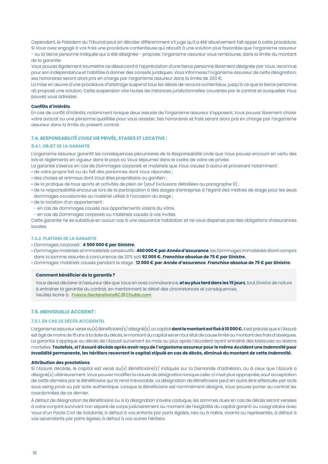Cependant, le Président du Tribunal peut en décider différemment s'il juge qu'il a été abusivement fait appel à cette procédure. Si *Vous* avez engagé à vos frais une procédure contentieuse qui aboutit à une solution plus favorable que l'organisme assureur - ou la tierce personne indiquée qui a été désignée - propose, l'organisme assureur vous rembourse, dans la limite du montant de la garantie.

*Vous* pouvez également soumettre ce désaccord à l'appréciation d'une tierce personne librement désignée par *Vous*, reconnue pour son indépendance et habilitée à donner des conseils juridiques. *Vous* informerez l'organisme assureur de cette désignation, ses honoraires seront alors pris en charge par l'organisme assureur dans la limite de 200 €.

La mise en œuvre d'une procédure d'arbitrage suspend tous les délais de recours contentieux, jusqu'à ce que la tierce personne ait proposé une solution. Cette suspension vise toutes les instances juridictionnelles couvertes par le contrat et auxquelles *Vous* pouvez vous adresser.

#### **Conflits d'intérêts**

En cas de conflit d'intérêts, notamment lorsque deux assurés de l'organisme assureur s'opposent, *Vous* pouvez librement choisir votre avocat ou une personne qualifiée pour vous assister. Ses honoraires et frais seront alors pris en charge par l'organisme assureur dans la limite du présent contrat.

#### **7.4.** *RESPONSABILITÉ CIVILE* **VIE PRIVÉE, STAGES ET LOCATIVE :**

#### **8.4.1. OBJET DE LA GARANTIE**

L'organisme assureur garantit les conséquences pécuniaires de la *Responsabilité civile* que *Vous* pouvez encourir en vertu des lois et règlements en vigueur dans le pays où *Vous* séjournez dans le cadre de votre vie privée.

La garantie s'exerce en cas de *Dommages corporels* et *matériels* que *Vous* causez à autrui et provenant notamment :

- de votre propre fait ou du fait des personnes dont *Vous* répondez ;
- des choses et animaux dont *Vous* êtes propriétaire ou gardien ;
- de la pratique de tous sports et activités de plein air (sauf *Exclusions* détaillées au paragraphe 9) ;
- de la responsabilité encourue lors de la participation à des stages d'entreprise à l'égard des maîtres de stage pour les seuls dommages occasionnés au matériel utilisé à l'occasion du stage ;
- de la location d'un appartement :
- en cas de dommages causés aux appartements voisins du vôtre,
- en cas de *Dommages corporels* ou matériels causés à vos invités.

Cette garantie ne se substitue en aucun cas à une assurance habitation et ne vous dispense pas des obligations d'assurances locales.

#### **7.4.2. PLAFOND DE LA GARANTIE**

- *Dommages corporels* : **4 500 000 € par** *Sinistre***.**
- *Dommages matériels* et *immatériels consécutifs* : **460 000 € par** *Année d'assurance*, les *Dommages immatériels* étant compris dans la somme assurée à concurrence de 20% soit **92 000 €.** *Franchise* **absolue de 75 € par** *Sinistre***.**
- *Dommages matériels* causés pendant le stage : **12 000 € par** *Année d'assurance*. *Franchise* **absolue de 75 € par** *Sinistre***.**

#### **Comment bénéficier de la garantie ?**

*Vous* devez déclarer à l'assureur dès que *Vous* en avez connaissance, **et au plus tard dans les 15 jours**, tout *Sinistre* de nature à entraîner la garantie du contrat, en mentionnant le détail des circonstances et conséquences. Veuillez écrire à : **France.DeclarationsRC@Chubb.com**

#### **7.5.** *INDIVIDUELLE ACCIDENT* **:**

#### **7.5.1. EN CAS DE DÉCÈS ACCIDENTEL**

L'organisme assureur verse au(x) *Bénéficiaire(s)* désigné(s) un capital **dont le montant est fixé à 10 000 €.** Il est précisé que si l'*Assuré* est âgé de moins de 16 ans à la date du décès, le montant du capital est en tout état de cause limité au montant des frais d'obsèques. La garantie s'applique au décès de l'*Assuré* survenant six mois au plus après l'*Accident* ayant entraîné des blessures ou lésions mortelles. **Toutefois, si l'***Assuré* **décède après avoir reçu de l'organisme assureur pour le même** *Accident* **une** *Indemnité* **pour**  *Invalidité* **permanente, les héritiers recevront le capital stipulé en cas de décès, diminué du montant de cette** *Indemnité***.**

#### **Attribution des prestations**

Si l'*Assuré* décède, le capital est versé au(x) *Bénéficiaire(s)* indiqués sur la Demande d'adhésion, ou à ceux que l'*Assuré* a désigné(s) ultérieurement. *Vous* pouvez modifier la clause de désignation lorsque celle-ci n'est plus appropriée, sauf acceptation de cette dernière par le *Bénéficiaire* qui la rend irrévocable. La désignation de *Bénéficiaire* peut en outre être effectuée par acte sous seing privé ou par acte authentique. Lorsque le *Bénéficiaire* est nommément désigné, *Vous* pouvez porter au contrat les coordonnées de ce dernier.

À défaut de désignation de *Bénéficiaire* ou si la désignation s'avère caduque, les sommes dues en cas de décès seront versées à votre conjoint survivant non séparé de corps judiciairement au moment de l'exigibilité du capital garanti ou cosignataire avec *Vous* d'un Pacte Civil de Solidarité, à défaut à vos enfants par parts égales, nés ou à naître, vivants ou représentés, à défaut à vos ascendants par parts égales, à défaut à vos autres héritiers.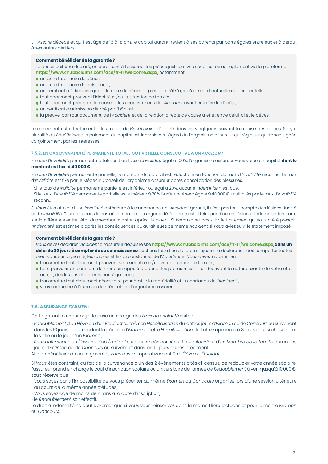Si l'*Assuré* décède et qu'il est âgé de 16 à 18 ans, le capital garanti revient à ses parents par parts égales entre eux et à défaut à ses autres héritiers.

#### **Comment bénéficier de la garantie ?**

Le décès doit être déclaré, en adressant à l'assureur les pièces justificatives nécessaires au règlement via la plateforme **https://www.chubbclaims.com/ace/fr-fr/welcome.aspx**, notamment :

- un extrait de l'acte de décès ;
- un extrait de l'acte de naissance ;
- un certificat médical indiquant la date du décès et précisant s'il s'agit d'une mort naturelle ou accidentelle ;
- tout document prouvant l'identité et/ou la situation de famille ;
- tout document précisant la cause et les circonstances de l'*Accident* ayant entraîné le décès ;
- un certificat d'admission délivré par l'hôpital ;
- la preuve, par tout document, de l'*Accident* et de la relation directe de cause à effet entre celui-ci et le décès.

Le règlement est effectué entre les mains du *Bénéficiaire* désigné dans les vingt jours suivant la remise des pièces. S'il y a pluralité de *Bénéficiaires*, le paiement du capital est indivisible à l'égard de l'organisme assureur qui règle sur quittance signée conjointement par les intéressés.

#### **7.5.2. EN CAS D'***INVALIDITÉ* **PERMANENTE TOTALE OU PARTIELLE CONSÉCUTIVE À UN** *ACCIDENT*

En cas d'*Invalidité* permanente totale, soit un taux d'*Invalidité* égal à 100%, l'organisme assureur vous verse un capital **dont le montant est fixé à 40 000 €.**

En cas d'*Invalidité* permanente partielle, le montant du capital est réductible en fonction du taux d'*Invalidité* reconnu. Le taux d'*Invalidité* est fixé par le Médecin Conseil de l'organisme assureur après consolidation des blessures.

- Si le taux d'*Invalidité* permanente partielle est inférieur ou égal à 20%, aucune *Indemnité* n'est due.
- Si le taux d'*Invalidité* permanente partielle est supérieur à 20%, l'*Indemnité* sera égale à 40 000 €, multipliés par le taux d'*Invalidité* reconnu.

Si *Vous* êtes atteint d'une *Invalidité* antérieure à la survenance de l'*Accident* garanti, il n'est pas tenu compte des lésions dues à cette *Invalidité*. Toutefois, dans le cas où le membre ou organe déjà infirme est atteint par d'autres lésions, l'indemnisation porte sur la différence entre l'état du membre avant et après l'*Accident*. Si *Vous* n'avez pas suivi le traitement qui vous a été prescrit, l'*Indemnité* est estimée d'après les conséquences qu'aurait eues ce même *Accident* si *Vous* aviez suivi le traitement imposé.

#### **Comment bénéficier de la garantie ?**

*Vous* devez déclarer l'*Accident* à l'assureur depuis le site **https://www.chubbclaims.com/ace/fr-fr/welcome.aspx**, **dans un délai de 30 jours à compter de sa connaissance**, sauf cas fortuit ou de force majeure. La déclaration doit comporter toutes précisions sur la gravité, les causes et les circonstances de l'*Accident* et *Vous* devez notamment :

- transmettre tout document prouvant votre identité et/ou votre situation de famille ;
- faire parvenir un certificat du médecin appelé à donner les premiers soins et décrivant la nature exacte de votre état actuel, des lésions et de leurs conséquences ;
- transmettre tout document nécessaire pour établir la matérialité et l'importance de l'*Accident* ;
- vous soumettre à l'examen du médecin de l'organisme assureur.

#### **7.6. ASSURANCE** *EXAMEN* **:**

Cette garantie a pour objet la prise en charge des *Frais de scolarité* suite au :

- *Redoublement* d'un *Élève* ou d'un *Étudiant* suite à son *Hospitalisation* durant les jours d'*Examen* ou de *Concours* ou survenant dans les 10 jours qui précèdent la période d'*Examen* ; cette *Hospitalisation* doit être supérieure à 3 jours sauf si elle survient la veille ou le jour d'un *Examen* ;
- *Redoublement* d'un *Élève* ou d'un *Étudiant* suite au décès consécutif à un *Accident* d'un *Membre de la famille* durant les jours d'*Examen* ou de *Concours* ou survenant dans les 10 jours qui les précèdent.

Afin de bénéficier de cette garantie, *Vous* devez impérativement être *Élève* ou *Étudiant*.

Si *Vous* êtes contraint, du fait de la survenance d'un des 2 événements cités ci-dessus, de redoubler votre année scolaire, l'assureur prend en charge le coût d'inscription scolaire ou universitaire de l'année de *Redoublement* à venir jusqu'à 10000 €, sous réserve que :

- *Vous* soyez dans l'impossibilité de vous présenter au même *Examen* ou *Concours* organisé lors d'une session ultérieure au cours de la même année d'études,
- *Vous* soyez âgé de moins de 41 ans à la date d'inscription,
- le *Redoublement* soit effectif.

Le droit à indemnité ne peut s'exercer que si *Vous* vous réinscrivez dans la même filière d'études et pour le même *Examen* ou *Concours*.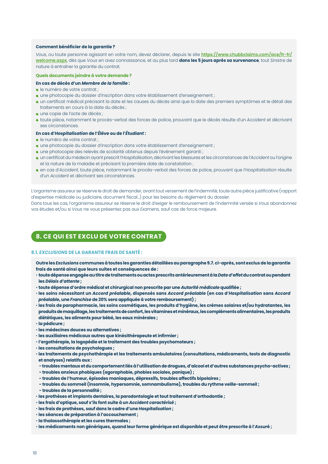#### **Comment bénéficier de la garantie ?**

*Vous*, ou toute personne agissant en votre nom, devez déclarer, depuis le site **https://www.chubbclaims.com/ace/fr-fr/ welcome.aspx**, dès que *Vous* en avez connaissance, et au plus tard **dans les 5 jours après sa survenance**, tout *Sinistre* de nature à entraîner la garantie du contrat.

#### **Quels documents joindre à votre demande ?**

#### **En cas de décès d'un** *Membre de la famille* **:**

- le numéro de votre contrat ;
- **· une photocopie du dossier d'inscription dans votre établissement d'enseignement ;**
- un certificat médical précisant la date et les causes du décès ainsi que la date des premiers symptômes et le détail des traitements en cours à la date du décès ;
- une copie de l'acte de décès ;
- toute pièce, notamment le procès-verbal des forces de police, prouvant que le décès résulte d'un *Accident* et décrivant ses circonstances.

#### **En cas d'***Hospitalisation* **de l'***Élève* **ou de l'***Étudiant* **:**

- le numéro de votre contrat ;
- **· une photocopie du dossier d'inscription dans votre établissement d'enseignement ;**
- une photocopie des relevés de scolarité obtenus depuis l'événement garanti ;
- un certificat du médecin ayant prescrit l'*Hospitalisation*, décrivant les blessures et les circonstances de l'*Accident* ou l'origine et la nature de la maladie et précisant la première date de constatation ;
- en cas d'*Accident*, toute pièce, notamment le procès-verbal des forces de police, prouvant que l'*Hospitalisation* résulte d'un *Accident* et décrivant ses circonstances.

L'organisme assureur se réserve le droit de demander, avant tout versement de l'indemnité, toute autre pièce justificative (rapport d'expertise médicale ou judiciaire, document fiscal…) pour les besoins du règlement du dossier.

Dans tous les cas, l'organisme assureur se réserve le droit d'exiger le remboursement de l'indemnité versée si *Vous* abandonnez vos études et/ou si *Vous* ne vous présentez pas aux *Examens*, sauf cas de force majeure.

## **8. CE QUI EST EXCLU DE VOTRE CONTRAT**

#### **8.1.** *EXCLUSIONS* **DE LA GARANTIE FRAIS DE SANTÉ :**

- **Outre les** *Exclusions* **communes à toutes les garanties détaillées au paragraphe 9.7. ci-après, sont exclus de la garantie frais de santé ainsi que leurs suites et conséquences de :**
- **toute dépense engagée au titre de traitements ou actes prescrits antérieurement à la** *Date d'effet* **du contrat ou pendant les** *Délais d'attente* **;**
- **toute dépense d'ordre médical et chirurgical non prescrite par une** *Autorité médicale* **qualifiée ;**
- **les soins nécessitant un** *Accord préalable***, dispensés sans** *Accord préalable* **(en cas d'***Hospitalisation* **sans** *Accord préalable***, une** *Franchise* **de 20% sera appliquée à votre remboursement) ;**
- **les frais de parapharmacie, les soins cosmétiques, les produits d'hygiène, les crèmes solaires et/ou hydratantes, les produits de maquillage, les traitements de confort, les vitamines et minéraux, les compléments alimentaires, les produits diététiques, les aliments pour bébé, les eaux minérales ;**
- **la pédicure ;**
- **les médecines douces ou alternatives ;**
- **les auxiliaires médicaux autres que kinésithérapeute et infirmier ;**
- **l'ergothérapie, la logopédie et le traitement des troubles psychomoteurs ;**
- **les consultations de psychologues ;**
- **les traitements de psychothérapie et les traitements ambulatoires (consultations, médicaments, tests de diagnostic et analyses) relatifs aux :**
- **troubles mentaux et du comportement liés à l'utilisation de drogues, d'alcool et d'autres substances psycho-actives ;**
- **troubles anxieux phobiques (agoraphobie, phobies sociales, panique) ;**
- **troubles de l'humeur, épisodes maniaques, dépressifs, troubles affectifs bipolaires ;**
- **troubles du sommeil (insomnie, hypersomnie, somnambulisme), troubles du rythme veille-sommeil ;**
- **troubles de la personnalité ;**
- **les prothèses et implants dentaires, la parodontologie et tout traitement d'orthodontie ;**
- **les frais d'optique, sauf s'ils font suite à un** *Accident caractérisé* **;**
- **les frais de prothèses, sauf dans le cadre d'une** *Hospitalisation* **;**
- **les séances de préparation à l'accouchement ;**
- **la thalassothérapie et les cures thermales ;**
- **les médicaments non génériques, quand leur forme générique est disponible et peut être prescrite à l'***Assur***é ;**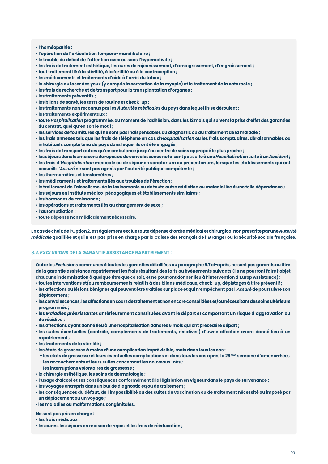#### • **l'homéopathie :**

- **l'opération de l'articulation temporo-mandibulaire ;**
- **le trouble du déficit de l'attention avec ou sans l'hyperactivité ;**
- **les frais de traitement esthétique, les cures de rajeunissement, d'amaigrissement, d'engraissement ;**
- **tout traitement lié à la stérilité, à la fertilité ou à la contraception ;**
- **les médicaments et traitements d'aide à l'arrêt du tabac ;**
- **la chirurgie au laser des yeux (y compris la correction de la myopie) et le traitement de la cataracte ;**
- **les frais de recherche et de transport pour la transplantation d'organes ;**
- **les traitements préventifs ;**
- **les bilans de santé, les tests de routine et check-up ;**
- **les traitements non reconnus par les** *Autorités médicales* **du pays dans lequel ils se déroulent ;**
- **les traitements expérimentaux ;**
- **toute** *Hospitalisation* **programmée, au moment de l'adhésion, dans les 12 mois qui suivent la prise d'effet des garanties du contrat, quel qu'en soit le motif ;**
- **les services de fournitures qui ne sont pas indispensables au diagnostic ou au traitement de la maladie ;**
- **les frais annexes tels que les frais de téléphone en cas d'***Hospitalisation* **ou les frais somptuaires, déraisonnables ou inhabituels compte tenu du pays dans lequel ils ont été engagés ;**
- **les frais de transport autres qu'en ambulance jusqu'au centre de soins approprié le plus proche ;**
- **les séjours dans les maisons de repos ou de convalescence ne faisant pas suite à une** *Hospitalisation* **suite à un** *Accident* **;**
- **les frais d'***Hospitalisation* **médicale ou de séjour en sanatorium ou préventorium, lorsque les établissements qui ont accueilli l'***Assuré* **ne sont pas agréés par l'autorité publique compétente ;**
- **les thermomètres et tensiomètres ;**
- **les médicaments et traitements liés aux troubles de l'érection ;**
- **le traitement de l'alcoolisme, de la toxicomanie ou de toute autre addiction ou maladie liée à une telle dépendance ;**
- **les séjours en instituts médico-pédagogiques et établissements similaires ;**
- **les hormones de croissance ;**
- **les opérations et traitements liés au changement de sexe ;**
- **l'automutilation ;**
- **toute dépense non médicalement nécessaire.**

**En cas de choix de l'Option 2, est également exclue toute dépense d'ordre médical et chirurgical non prescrite par une** *Autorité médicale* **qualifiée et qui n'est pas prise en charge par la Caisse des Français de l'Étranger ou la Sécurité Sociale française.**

#### **8.2.** *EXCLUSIONS* **DE LA GARANTIE ASSISTANCE RAPATRIEMENT :**

**Outre les** *Exclusions* **communes à toutes les garanties détaillées au paragraphe 9.7 ci-après, ne sont pas garantis au titre de la garantie assistance rapatriement les frais résultant des faits ou événements suivants (ils ne pourront faire l'objet d'aucune indemnisation à quelque titre que ce soit, et ne pourront donner lieu à l'intervention d'Europ Assistance) :**

- **toutes interventions et/ou remboursements relatifs à des bilans médicaux, check-up, dépistages à titre préventif ;**
- **les affections ou lésions bénignes qui peuvent être traitées sur place et qui n'empêchent pas l'***Assuré* **de poursuivre son déplacement ;**
- **les convalescences, les affections en cours de traitement et non encore consolidées et/ou nécessitant des soins ultérieurs programmés ;**
- **les** *Maladies préexistantes* **antérieurement constituées avant le départ et comportant un risque d'aggravation ou de récidive ;**
- **les affections ayant donné lieu à une hospitalisation dans les 6 mois qui ont précédé le départ ;**
- **les suites éventuelles (contrôle, compléments de traitements, récidives) d'uwne affection ayant donné lieu à un rapatriement ;**
- **les traitements de la stérilité ;**
- **les états de grossesse à moins d'une complication imprévisible, mais dans tous les cas :**
- **les états de grossesse et leurs éventuelles complications et dans tous les cas après la 28ème semaine d'aménorrhée ;**
- **les accouchements et leurs suites concernant les nouveaux-nés ;**
- **les interruptions volontaires de grossesse ;**
- **la chirurgie esthétique, les soins de dermatologie ;**
- **l'usage d'alcool et ses conséquences conformément à la législation en vigueur dans le pays de survenance ;**
- **les voyages entrepris dans un but de diagnostic et/ou de traitement ;**
- **les conséquences du défaut, de l'impossibilité ou des suites de vaccination ou de traitement nécessité ou imposé par un déplacement ou un voyage ;**
- • **les maladies ou malformations congénitales.**

**Ne sont pas pris en charge :**

- **les frais médicaux ;**
- **les cures, les séjours en maison de repos et les frais de rééducation ;**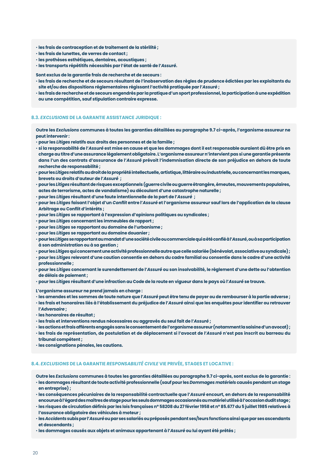- **les frais de contraception et de traitement de la stérilité ;**
- **les frais de lunettes, de verres de contact ;**
- **les prothèses esthétiques, dentaires, acoustiques ;**
- **les transports répétitifs nécessités par l'état de santé de l'***Assuré***.**

**Sont exclus de la garantie frais de recherche et de secours :**

- **les frais de recherche et de secours résultant de l'inobservation des règles de prudence édictées par les exploitants du site et/ou des dispositions réglementaires régissant l'activité pratiquée par l'***Assuré* **;**
- **les frais de recherche et de secours engendrés par la pratique d'un sport professionnel, la participation à une expédition ou une compétition, sauf stipulation contraire expresse.**

#### **8.3.** *EXCLUSIONS* **DE LA GARANTIE ASSISTANCE JURIDIQUE :**

**Outre les** *Exclusions* **communes à toutes les garanties détaillées au paragraphe 9.7 ci-après, l'organisme assureur ne peut intervenir :**

• **pour les** *Litiges* **relatifs aux droits des personnes et de la famille ;**

- **si la responsabilité de l'***Assuré* **est mise en cause et que les dommages dont il est responsable auraient dû être pris en charge au titre d'une assurance légalement obligatoire. L'organisme assureur n'intervient pas si une garantie présente dans l'un des contrats d'assurance de l'***Assuré* **prévoit l'indemnisation directe de son préjudice en dehors de toute recherche de responsabilité ;**
- **pour les** *Litiges* **relatifs au droit de la propriété intellectuelle, artistique, littéraire ou industrielle, ou concernant les marques, brevets ou droits d'auteur de l'***Assuré*  **;**
- **pour les** *Litiges* **résultant de risques exceptionnels (guerre civile ou guerre étrangère, émeutes, mouvements populaires, actes de terrorisme, actes de vandalisme) ou découlant d'une catastrophe naturelle ;**
- **pour les** *Litiges* **résultant d'une faute intentionnelle de la part de l'***Assuré*  **;**
- **pour les** *Litiges* **faisant l'objet d'un** *Conflit* **entre l'***Assuré* **et l'organisme assureur sauf lors de l'application de la clause Arbitrage ou Conflit d'intérêts ;**
- **pour les** *Litiges* **se rapportant à l'expression d'opinions politiques ou syndicales ;**
- **pour les** *Litiges* **concernant les immeubles de rapport ;**
- **pour les** *Litiges* **se rapportant au domaine de l'urbanisme ;**
- **pour les** *Litiges* **se rapportant au domaine douanier ;**
- **pour les** *Litiges* **se rapportant au mandat d'une société civile ou commerciale qui a été confié à l'***Assuré***, ou à sa participation à son administration ou à sa gestion ;**
- **pour les** *Litiges* **qui concernent une activité professionnelle autre que celle salariée (bénévolat, associative ou syndicale) ;**
- **pour les** *Litiges* **relevant d'une caution consentie en dehors du cadre familial ou consentie dans le cadre d'une activité professionnelle ;**
- **pour les** *Litiges* **concernant le surendettement de l'***Assuré* **ou son insolvabilité, le règlement d'une dette ou l'obtention de délais de paiement ;**
- **pour les** *Litiges* **résultant d'une infraction au Code de la route en vigueur dans le pays où l'***Assuré* **se trouve.**

**L'organisme assureur ne prend jamais en charge :**

- **les amendes et les sommes de toute nature que l'***Assuré* **peut être tenu de payer ou de rembourser à la partie adverse ;**
- **les frais et honoraires liés à l'établissement du préjudice de l'***Assuré* **ainsi que les enquêtes pour identifier ou retrouver l'***Adversaire* **;**
- **les honoraires de résultat ;**
- **les frais et interventions rendus nécessaires ou aggravés du seul fait de l'***Assuré* **;**
- **les actions et frais afférents engagés sans le consentement de l'organisme assureur (notamment la saisine d'un avocat) ;** • **les frais de représentation, de postulation et de déplacement si l'avocat de l'***Assuré* **n'est pas inscrit au barreau du**
- **tribunal compétent ;**
- **les consignations pénales, les cautions.**

#### **8.4.** *EXCLUSIONS* **DE LA GARANTIE** *RESPONSABILITÉ CIVILE* **VIE PRIVÉE, STAGES ET LOCATIVE :**

**Outre les** *Exclusions* **communes à toutes les garanties détaillées au paragraphe 9.7 ci-après, sont exclus de la garantie :**

- **les dommages résultant de toute activité professionnelle (sauf pour les** *Dommages matériels* **causés pendant un stage en entreprise) ;**
- **les conséquences pécuniaires de la responsabilité contractuelle que l'***Assuré* **encourt, en dehors de la responsabilité encourue à l'égard des maîtres de stage pour les seuls dommages occasionnés au matériel utilisé à l'occasion dudit stage ;**
- **les risques de circulation définis par les lois françaises n° 58208 du 27 février 1958 et n° 85.677 du 5 juillet 1985 relatives à l'assurance obligatoire des véhicules à moteur ;**
- **les** *Accidents* **subis par l'***Assuré* **ou par ses salariés ou préposés pendant ses/leurs fonctions ainsi que par ses ascendants et descendants ;**
- **les dommages causés aux objets et animaux appartenant à l'***Assuré* **ou lui ayant été prêtés ;**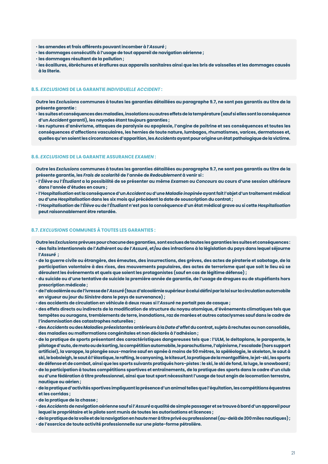- **les amendes et frais afférents pouvant incomber à l'***Assuré* **;**
- **les dommages consécutifs à l'usage de tout appareil de navigation aérienne ;**
- **les dommages résultant de la pollution ;**
- **les écaillures, ébréchures et éraflures aux appareils sanitaires ainsi que les bris de vaisselles et les dommages causés à la literie.**

#### **8.5.** *EXCLUSIONS* **DE LA GARANTIE** *INDIVIDUELLE ACCIDENT* **:**

**Outre les** *Exclusions* **communes à toutes les garanties détaillées au paragraphe 9.7, ne sont pas garantis au titre de la présente garantie :**

- **les suites et conséquences des maladies, insolations ou autres effets de la température (sauf si elles sont la conséquence d'un** *Accident* **garanti), les noyades étant toujours garanties ;**
- **les ruptures d'anévrisme, attaques de paralysie ou apoplexie, l'angine de poitrine et ses conséquences et toutes les conséquences d'affections vasculaires, les hernies de toute nature, lumbagos, rhumatismes, varices, dermatoses et, quelles qu'en soient les circonstances d'apparition, les** *Accidents* **ayant pour origine un état pathologique de la victime.**

#### **8.6.** *EXCLUSIONS* **DE LA GARANTIE ASSURANCE** *EXAMEN* **:**

**Outre les** *Exclusions* **communes à toutes les garanties détaillées au paragraphe 9.7, ne sont pas garantis au titre de la présente garantie, les** *Frais de scolarité* **de l'année de** *Redoublement* **à venir si :** 

- **l'***Élève* **ou l'***Étudiant* **a la possibilité de se présenter au même** *Examen* **ou** *Concours* **au cours d'une session ultérieure dans l'année d'études en cours ;**
- **l'***Hospitalisation* **est la conséquence d'un** *Accident* **ou d'une** *Maladie inopinée* **ayant fait l'objet d'un traitement médical ou d'une** *Hospitalisation* **dans les six mois qui précèdent la date de souscription du contrat ;**
- **l'***Hospitalisation* **de l'***Élève* **ou de l'***Étudiant* **n'est pas la conséquence d'un état médical grave ou si cette** *Hospitalisation* **peut raisonnablement être retardée.**

#### **8.7.** *EXCLUSIONS* **COMMUNES À TOUTES LES GARANTIES :**

- **Outre les** *Exclusions* **prévues pour chacune des garanties, sont exclues de toutes les garanties les suites et conséquences :** • **des faits intentionnels de l'***Adhéren***t ou de l'***Assuré***, et/ou des infractions à la législation du pays dans lequel séjourne l'***Assuré*  **;**
- **de la guerre civile ou étrangère, des émeutes, des insurrections, des grèves, des actes de piraterie et sabotage, de la participation volontaire à des rixes, des mouvements populaires, des actes de terrorisme quel que soit le lieu où se déroulent les événements et quels que soient les protagonistes (sauf en cas de légitime défense) ;**
- **du suicide ou d'une tentative de suicide la première année de garantie, de l'usage de drogues ou de stupéfiants hors prescription médicale ;**
- **de l'alcoolémie ou de l'ivresse de l'***Assuré* **(taux d'alcoolémie supérieur à celui défini par la loi sur la circulation automobile en vigueur au jour du** *Sinistre* **dans le pays de survenance) ;**
- **des accidents de circulation en véhicule à deux roues si l'***Assuré* **ne portait pas de casque ;**
- **des effets directs ou indirects de la modification de structure du noyau atomique, d'événements climatiques tels que tempêtes ou ouragans, tremblements de terre, inondations, raz de marées et autres cataclysmes sauf dans le cadre de l'indemnisation des catastrophes naturelles ;**
- **des** *Accidents* **ou des** *Maladies préexistantes* **antérieurs à la** *Date d'effet***du contrat, sujets à rechutes ou non consolidés, des maladies ou malformations congénitales et non déclarés à l'adhésion ;**
- **de la pratique de sports présentant des caractéristiques dangereuses tels que : l'ULM, le deltaplane, le parapente, le pilotage d'auto, de moto ou de karting, la compétition automobile, le parachutisme, l'alpinisme, l'escalade (hors support artificiel), la varappe, la plongée sous-marine sauf en apnée à moins de 50 mètres, la spéléologie, le skeleton, le saut à ski, le bobsleigh, le saut à l'élastique, le rafting, le canyoning, le kitesurf, la pratique de la montgolfière, le jet-ski, les sports de défense et de combat, ainsi que les sports suivants pratiqués hors-pistes : le ski, le ski de fond, la luge, le snowboard ;**
- **de la participation à toutes compétitions sportives et entraînements, de la pratique des sports dans le cadre d'un club ou d'une fédération à titre professionnel, ainsi que tout sport nécessitant l'usage de tout engin de locomotion terrestre, nautique ou aérien ;**
- **de la pratique d'activités sportives impliquant la présence d'un animal telles que l'équitation, les compétitions équestres et les corridas ;**
- **de la pratique de la chasse ;**
- **des** *Accidents* **de navigation aérienne sauf si l'***Assuré* **a qualité de simple passager et se trouve à bord d'un appareil pour lequel le propriétaire et le pilote sont munis de toutes les autorisations et licences ;**
- **de la pratique de la voile et de la navigation en haute mer à titre privé ou professionnel (au-delà de 200 miles nautiques) ;**
- **de l'exercice de toute activité professionnelle sur une plate-forme pétrolière.**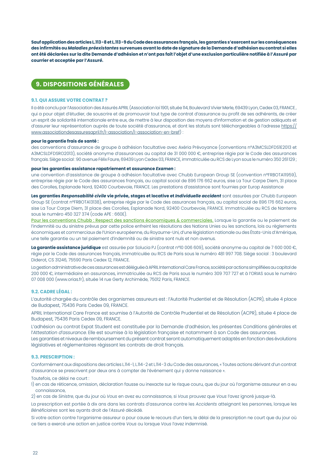**Sauf application des articles L.113-8 et L.113-9 du Code des assurances français, les garanties s'exercent sur les conséquences des infirmités ou** *Maladies préexistantes* **survenues avant la date de signature de la Demande d'adhésion au contrat si elles ont été déclarées sur la dite Demande d'adhésion et n'ont pas fait l'objet d'une exclusion particulière notifiée à l'***Assuré* **par courrier et acceptée par l'***Assuré***.**

## **9. DISPOSITIONS GÉNÉRALES**

#### **9.1. QUI ASSURE VOTRE CONTRAT ?**

Il a été conclu par l'Association des Assurés APRIL (Association loi 1901, située 114, Boulevard Vivier Merle, 69439 Lyon, Cedex 03, FRANCE, qui a pour objet d'étudier, de souscrire et de promouvoir tout type de contrat d'assurance au profit de ses adhérents, de créer un esprit de solidarité internationale entre eux, de mettre à leur disposition des moyens d'information et de gestion adéquats et d'assurer leur représentation auprès de toute société d'assurance, et dont les statuts sont téléchargeables à l'adresse https:// www.associationdesassuresapril.fr/l-association/l-association-en-bref) :

#### **pour la garantie frais de santé :**

des conventions d'assurance de groupe à adhésion facultative avec Axéria Prévoyance (conventions n°A3MCSLDFDS1E2013 et A3MCSLDFDSRO2013), société anonyme d'assurances au capital de 31 000 000 €, entreprise régie par le Code des assurances français. Siège social : 90 avenue Félix Faure, 69439 Lyon Cedex 03, FRANCE, immatriculée au RCS de Lyon sous le numéro 350 261129 ;

#### **pour les garanties assistance rapatriement et assurance** *Examen* **:**

une convention d'assistance de groupe à adhésion facultative avec Chubb European Group SE (convention n°FRBOTA11959), entreprise régie par le Code des assurances français, au capital social de 896 176 662 euros, sise La Tour Carpe Diem, 31 place des Corolles, Esplanade Nord, 92400 Courbevoie, FRANCE. Les prestations d'assistance sont fournies par Europ Assistance

**Les garanties** *Responsabilité civile* **vie privée, stages et locative et** *Individuelle accident* sont assurées par Chubb European Group SE (contrat n°FRBOTA13138), entreprise régie par le Code des assurances français, au capital social de 896 176 662 euros, sise La Tour Carpe Diem, 31 place des Corolles, Esplanade Nord, 92400 Courbevoie, FRANCE. Immatriculée au RCS de Nanterre sous le numéro 450 327 374 (code APE : 660E).

Pour les conventions Chubb : Respect des sanctions économiques & commerciales. Lorsque la garantie ou le paiement de l'indemnité ou du sinistre prévus par cette police enfreint les résolutions des Nations Unies ou les sanctions, lois ou règlements économiques et commerciaux de l'Union européenne, du Royaume-Uni, d'une législation nationale ou des États-Unis d'Amérique, une telle garantie ou un tel paiement d'indemnité ou de sinistre sont nuls et non avenus.

La garantie assistance juridiaue est assurée par Solucia PJ (contrat n°10 006 609), société anonyme au capital de 7 600 000 €, régie par le Code des assurances français, immatriculée au RCS de Paris sous le numéro 481 997 708. Siège social : 3 boulevard Diderot, CS 31246, 75590 Paris Cedex 12, FRANCE.

La gestion administrative de ces assurances est déléguée à APRIL International Care France, société par actions simplifiées au capital de 200 000 €, intermédiaire en assurances, immatriculée au RCS de Paris sous le numéro 309 707 727 et à l'ORIAS sous le numéro 07 008 000 (www.orias.fr), située 14 rue Gerty Archimède, 75012 Paris, FRANCE.

#### **9.2. CADRE LÉGAL :**

L'autorité chargée du contrôle des organismes assureurs est : l'Autorité Prudentiel et de Résolution (ACPR), située 4 place de Budapest, 75436 Paris Cedex 09, FRANCE.

APRIL International Care France est soumise à l'Autorité de Contrôle Prudentiel et de Résolution (ACPR), située 4 place de Budapest, 75436 Paris Cedex 09, FRANCE.

L'adhésion au contrat Expat Student est constituée par la Demande d'adhésion, les présentes Conditions générales et l'*Attestation d'assurance*. Elle est soumise à la législation française et notamment à son Code des assurances. Les garanties et niveaux de remboursement du présent contrat seront automatiquement adaptés en fonction des évolutions législatives et réglementaires régissant les contrats de droit français.

#### **9.3. PRESCRIPTION :**

Conformément aux dispositions des articles L.114-1, L.114-2 et L.114-3 du Code des assurances, « Toutes actions dérivant d'un contrat d'assurance se prescrivent par deux ans à compter de l'événement qui y donne naissance ».

Toutefois, ce délai ne court :

1) en cas de réticence, omission, déclaration fausse ou inexacte sur le risque couru, que du jour où l'organisme assureur en a eu connaissance,

2) en cas de *Sinistre*, que du jour où *Vous* en avez eu connaissance, si *Vous* prouvez que *Vous* l'avez ignoré jusque-là.

La prescription est portée à dix ans dans les contrats d'assurance contre les *Accidents* atteignant les personnes, lorsque les *Bénéficiaires* sont les ayants droit de l'*Assuré* décédé.

Si votre action contre l'organisme assureur a pour cause le recours d'un tiers, le délai de la prescription ne court que du jour où ce tiers a exercé une action en justice contre *Vous* ou lorsque *Vous* l'avez indemnisé.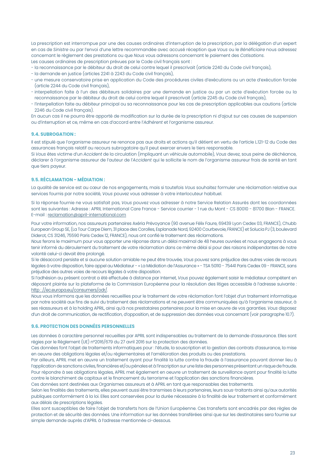La prescription est interrompue par une des causes ordinaires d'interruption de la prescription, par la délégation d'un expert en cas de *Sinistre* ou par l'envoi d'une lettre recommandée avec accusé réception que *Vous* ou le *Bénéficiaire* nous adressez concernant le règlement des prestations ou que *Nous* vous adressons concernant le paiement des *Cotisations*. Les causes ordinaires de prescription prévues par le Code civil français sont :

- la reconnaissance par le débiteur du droit de celui contre lequel il prescrivait (article 2240 du Code civil français),
- la demande en justice (articles 2241 à 2243 du Code civil français),
- une mesure conservatoire prise en application du Code des procédures civiles d'exécutions ou un acte d'exécution forcée (article 2244 du Code civil français),
- interpellation faite à l'un des débiteurs solidaires par une demande en justice ou par un acte d'exécution forcée ou la reconnaissance par le débiteur du droit de celui contre lequel il prescrivait (article 2245 du Code civil français),
- l'interpellation faite au débiteur principal ou sa reconnaissance pour les cas de prescription applicables aux cautions (article 2246 du Code civil français).

En aucun cas il ne pourra être apporté de modification sur la durée de la prescription ni d'ajout sur ces causes de suspension ou d'interruption et ce, même en cas d'accord entre l'*Adhérent* et l'organisme assureur.

#### **9.4. SUBROGATION :**

Il est stipulé que l'organisme assureur ne renonce pas aux droits et actions qu'il détient en vertu de l'article L.121-12 du Code des assurances français relatif au recours subrogatoire qu'il peut exercer envers le tiers responsable.

Si *Vous* êtes victime d'un *Accident* de la circulation (impliquant un véhicule automobile), *Vous* devez, sous peine de déchéance, déclarer à l'organisme assureur de l'auteur de l'*Accident* qui le sollicite le nom de l'organisme assureur frais de santé en tant que tiers payeur.

#### **9.5. RÉCLAMATION - MÉDIATION :**

La qualité de service est au cœur de nos engagements, mais si toutefois *Vous* souhaitez formuler une réclamation relative aux services fournis par notre société, *Vous* pouvez vous adresser à votre interlocuteur habituel.

Si la réponse fournie ne vous satisfait pas, *Vous* pouvez vous adresser à notre Service Relation Assurés dont les coordonnées sont les suivantes : Adresse : APRIL International Care France - Service courrier - 1 rue du Mont - CS 80010 - 81700 Blan - FRANCE. E-mail : reclamation@april-international.com

Pour votre information, nos assureurs partenaires Axéria Prévoyance (90 avenue Félix Faure, 69439 Lyon Cedex 03, FRANCE), Chubb European Group SE, (La Tour Carpe Diem, 31 place des Corolles, Esplanade Nord, 92400 Courbevoie, FRANCE) et Solucia PJ (3, boulevard Diderot, CS 31246, 75590 Paris Cedex 12, FRANCE), nous ont confié le traitement des réclamations.

*Nous* ferons le maximum pour vous apporter une réponse dans un délai maximal de 48 heures ouvrées et nous engageons à vous tenir informé du déroulement du traitement de votre réclamation dans ce même délai si pour des raisons indépendantes de notre volonté celui-ci devait être prolongé.

Si le désaccord persiste et si aucune solution amiable ne peut être trouvée, *Vous* pouvez sans préjudice des autres voies de recours légales à votre disposition, faire appel au Médiateur - « La Médiation de l'Assurance » - TSA 50110 - 75441 Paris Cedex 09 - FRANCE, sans préjudice des autres voies de recours légales à votre disposition.

Si l'adhésion au présent contrat a été effectuée à distance par Internet, *Vous* pouvez également saisir le médiateur compétent en déposant plainte sur la plateforme de la Commission Européenne pour la résolution des litiges accessible à l'adresse suivante : http : //ec.europa.eu/consumers/odr/.

*Nous* vous informons que les données recueillies pour le traitement de votre réclamation font l'objet d'un traitement informatique par notre société aux fins de suivi du traitement des réclamations et ne peuvent être communiquées qu'à l'organisme assureur, à ses réassureurs et à la holding APRIL, ainsi qu'à nos prestataires partenaires pour la mise en œuvre de vos garanties. *Vous* disposez d'un droit de communication, de rectification, d'opposition, et de suppression des données vous concernant (voir paragraphe 10.7).

#### **9.6. PROTECTION DES DONNÉES PERSONNELLES**

Les données à caractère personnel recueillies par APRIL sont indispensables au traitement de la demande d'assurance. Elles sont régies par le Règlement (UE) n°2016/679 du 27 avril 2016 sur la protection des données.

Ces données font l'objet de traitements informatiques pour : l'étude, la souscription et la gestion des contrats d'assurance, la mise en oeuvre des obligations légales et/ou réglementaires et l'amélioration des produits ou des prestations.

Par ailleurs, APRIL met en œuvre un traitement ayant pour finalité la lutte contre la fraude à l'assurance pouvant donner lieu à l'application de sanctions civiles, financières et/ou pénales et à l'inscription sur une liste des personnes présentant un risque de fraude. Pour répondre à ses obligations légales, APRIL met également en oeuvre un traitement de surveillance ayant pour finalité la lutte contre le blanchiment de capitaux et le financement du terrorisme et l'application des sanctions financières.

Ces données sont destinées aux Organismes assureurs et à APRIL en tant que responsables des traitements.

Selon les finalités des traitements, elles peuvent aussi être transmises à leurs partenaires, leurs sous-traitants ainsi qu'aux autorités publiques conformément à la loi. Elles sont conservées pour la durée nécessaire à la finalité de leur traitement et conformément aux délais de prescriptions légales.

Elles sont susceptibles de faire l'objet de transferts hors de l'Union Européenne. Ces transferts sont encadrés par des règles de protection et de sécurité des données. Une information sur les données transférées ainsi que sur les destinataires sera fournie sur simple demande auprès d'APRIL à l'adresse mentionnée ci-dessous.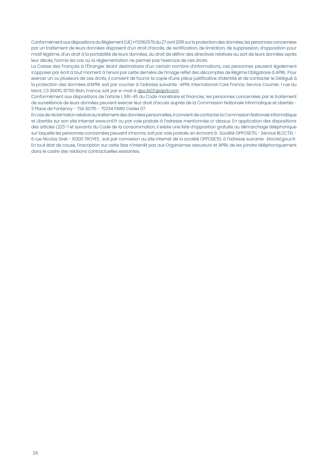Conformément aux dispositions du Règlement (UE) n°2016/679 du 27 avril 2016 sur la protection des données, les personnes concernées par un traitement de leurs données disposent d'un droit d'accès, de rectification, de limitation, de suppression, d'opposition pour motif légitime, d'un droit à la portabilité de leurs données, du droit de définir des directives relatives au sort de leurs données après leur décès, hormis les cas où la réglementation ne permet pas l'exercice de ces droits.

La Caisse des Français à l'Étranger étant destinataire d'un certain nombre d'informations, ces personnes peuvent également s'opposer par écrit à tout moment à l'envoi par cette dernière de l'image reflet des décomptes de Régime Obligatoire à APRIL. Pour exercer un ou plusieurs de ces droits, il convient de fournir la copie d'une pièce justificative d'identité et de contacter le Délégué à la protection des données d'APRIL soit par courrier à l'adresse suivante : APRIL International Care France, Service Courrier, 1 rue du Mont, CS 80010, 81700 Blan, France, soit par e-mail à dpo.AICF@april.com.

Conformément aux dispositions de l'article L 561-45 du Code monétaire et financier, les personnes concernées par le traitement de surveillance de leurs données peuvent exercer leur droit d'accès auprès de la Commission Nationale Informatique et Libertés - 3 Place de Fontenoy - TSA 80715 - 75334 PARIS Cedex 07.

En cas de réclamation relative au traitement des données personnelles, il convient de contacter la Commission Nationale Informatique et Libertés sur son site internet www.cnil.fr ou par voie postale à l'adresse mentionnée ci-dessus. En application des dispositions des articles L223-1 et suivants du Code de la consommation, il existe une liste d'opposition gratuite au démarchage téléphonique sur laquelle les personnes concernées peuvent s'inscrire, soit par voie postale, en écrivant à : Société OPPOSETEL - Service BLOCTEL - 6 rue Nicolas Siret - 10300 TROYES ; soit par connexion au site internet de la société OPPOSETEL à l'adresse suivante : bloctel.gouv.fr. En tout état de cause, l'inscription sur cette liste n'interdit pas aux Organismes assureurs et APRIL de les joindre téléphoniquement dans le cadre des relations contractuelles existantes.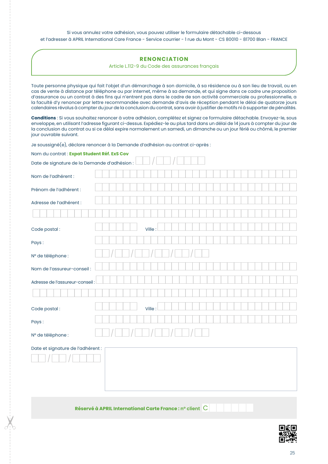#### Si vous annulez votre adhésion, vous pouvez utiliser le formulaire détachable ci-dessous et l'adresser à APRIL International Care France - Service courrier - 1 rue du Mont - CS 80010 - 81700 Blan - FRANCE

#### **RENONCIATION**

Article L.112-9 du Code des assurances français

Toute personne physique qui fait l'objet d'un démarchage à son domicile, à sa résidence ou à son lieu de travail, ou en cas de vente à distance par téléphone ou par internet, même à sa demande, et qui signe dans ce cadre une proposition d'assurance ou un contrat à des fins qui n'entrent pas dans le cadre de son activité commerciale ou professionnelle, a la faculté d'y renoncer par lettre recommandée avec demande d'avis de réception pendant le délai de quatorze jours calendaires révolus à compter du jour de la conclusion du contrat, sans avoir à justifier de motifs ni à supporter de pénalités.

**Conditions** : Si vous souhaitez renoncer à votre adhésion, complétez et signez ce formulaire détachable. Envoyez-le, sous enveloppe, en utilisant l'adresse figurant ci-dessus. Expédiez-le au plus tard dans un délai de 14 jours à compter du jour de la conclusion du contrat ou si ce délai expire normalement un samedi, un dimanche ou un jour férié ou chômé, le premier jour ouvrable suivant.

Je soussigné(e), déclare renoncer à la Demande d'adhésion au contrat ci-après :

| Nom du contrat : Expat Student Réf. ExS Cov  |  |        |  |  |  |  |  |  |
|----------------------------------------------|--|--------|--|--|--|--|--|--|
| Date de signature de la Demande d'adhésion : |  |        |  |  |  |  |  |  |
| Nom de l'adhérent :                          |  |        |  |  |  |  |  |  |
| Prénom de l'adhérent :                       |  |        |  |  |  |  |  |  |
| Adresse de l'adhérent :                      |  |        |  |  |  |  |  |  |
|                                              |  |        |  |  |  |  |  |  |
| Code postal:                                 |  | Ville: |  |  |  |  |  |  |
| Pays:                                        |  |        |  |  |  |  |  |  |
| N° de téléphone :                            |  |        |  |  |  |  |  |  |
| Nom de l'assureur-conseil :                  |  |        |  |  |  |  |  |  |
| Adresse de l'assureur-conseil:               |  |        |  |  |  |  |  |  |
|                                              |  |        |  |  |  |  |  |  |
| Code postal:                                 |  | Ville: |  |  |  |  |  |  |
| Pays:                                        |  |        |  |  |  |  |  |  |
| N° de téléphone :                            |  |        |  |  |  |  |  |  |
| Date et signature de l'adhérent :            |  |        |  |  |  |  |  |  |

**Réservé à APRIL International Carte France : n° client** C

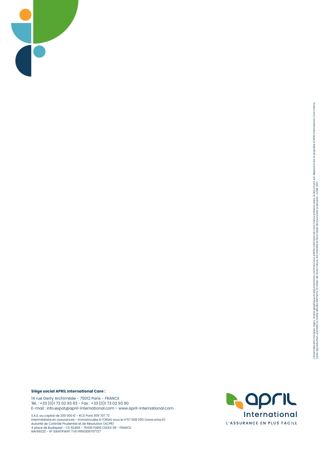

#### **Siège social APRIL International Care :**

14 rue Gerty Archimède - 75012 Paris - FRANCE Tél. : +33 (0)1 73 02 93 93 - Fax : +33 (0)1 73 02 93 90 E-mail : info.expat@april-international.com - www.april-international.com

S.A.S. au capital de 200 000 € - RCS Paris 309 707 72<br>Intermédiaire en assurances - Immatriculée à l'ORIAS sous le nº07 008 000 (www.orias.fr)<br>Autorité de Contrôle Prudentiel et de Résolution (ACPR)<br>4 place de Budapest -

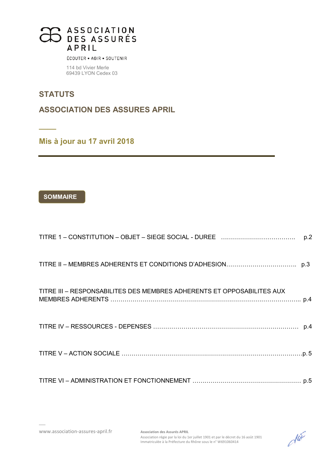

ÉCOUTER · AGIR · SOUTENIR

114 bd Vivier Merle 69439 LYON Cedex 03

## **STATUTS**

**\_\_\_\_** 

**ASSOCIATION DES ASSURES APRIL** 

**Mis à jour au 17 avril 2018** 

## **SOMMAIRE**

|                                                                        | p.2 |
|------------------------------------------------------------------------|-----|
|                                                                        |     |
| TITRE III - RESPONSABILITES DES MEMBRES ADHERENTS ET OPPOSABILITES AUX |     |
|                                                                        |     |
|                                                                        |     |
|                                                                        |     |

www.association-assures-april.fr **Association des Assurés APRIL**

 $d\widetilde{d}$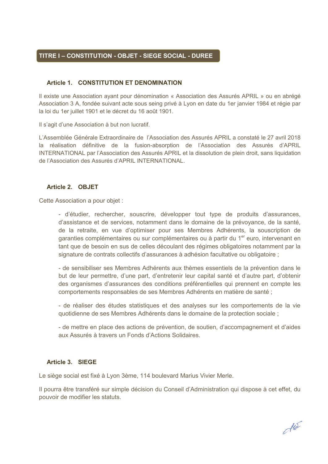## **TITRE I – CONSTITUTION - OBJET - SIEGE SOCIAL - DUREE**

## **Article 1. CONSTITUTION ET DENOMINATION**

Il existe une Association ayant pour dénomination « Association des Assurés APRIL » ou en abrégé Association 3 A, fondée suivant acte sous seing privé à Lyon en date du 1er janvier 1984 et régie par la loi du 1er juillet 1901 et le décret du 16 août 1901.

Il s'agit d'une Association à but non lucratif.

L'Assemblée Générale Extraordinaire de l'Association des Assurés APRIL a constaté le 27 avril 2018 la réalisation définitive de la fusion-absorption de l'Association des Assurés d'APRIL INTERNATIONAL par l'Association des Assurés APRIL et la dissolution de plein droit, sans liquidation de l'Association des Assurés d'APRIL INTERNATIONAL.

## **Article 2. OBJET**

Cette Association a pour objet :

- d'étudier, rechercher, souscrire, développer tout type de produits d'assurances, d'assistance et de services, notamment dans le domaine de la prévoyance, de la santé, de la retraite, en vue d'optimiser pour ses Membres Adhérents, la souscription de garanties complémentaires ou sur complémentaires ou à partir du 1<sup>er</sup> euro, intervenant en tant que de besoin en sus de celles découlant des régimes obligatoires notamment par la signature de contrats collectifs d'assurances à adhésion facultative ou obligatoire ;

- de sensibiliser ses Membres Adhérents aux thèmes essentiels de la prévention dans le but de leur permettre, d'une part, d'entretenir leur capital santé et d'autre part, d'obtenir des organismes d'assurances des conditions préférentielles qui prennent en compte les comportements responsables de ses Membres Adhérents en matière de santé ;

- de réaliser des études statistiques et des analyses sur les comportements de la vie quotidienne de ses Membres Adhérents dans le domaine de la protection sociale ;

- de mettre en place des actions de prévention, de soutien, d'accompagnement et d'aides aux Assurés à travers un Fonds d'Actions Solidaires.

## **Article 3. SIEGE**

Le siège social est fixé à Lyon 3ème, 114 boulevard Marius Vivier Merle.

Il pourra être transféré sur simple décision du Conseil d'Administration qui dispose à cet effet, du pouvoir de modifier les statuts.

dla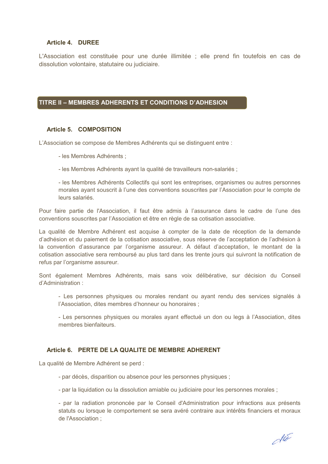## **Article 4. DUREE**

L'Association est constituée pour une durée illimitée ; elle prend fin toutefois en cas de dissolution volontaire, statutaire ou judiciaire.

## **TITRE II – MEMBRES ADHERENTS ET CONDITIONS D'ADHESION**

## **Article 5. COMPOSITION**

L'Association se compose de Membres Adhérents qui se distinguent entre :

- les Membres Adhérents ;

- les Membres Adhérents ayant la qualité de travailleurs non-salariés ;

- les Membres Adhérents Collectifs qui sont les entreprises, organismes ou autres personnes morales ayant souscrit à l'une des conventions souscrites par l'Association pour le compte de leurs salariés.

Pour faire partie de l'Association, il faut être admis à l'assurance dans le cadre de l'une des conventions souscrites par l'Association et être en règle de sa cotisation associative.

La qualité de Membre Adhérent est acquise à compter de la date de réception de la demande d'adhésion et du paiement de la cotisation associative, sous réserve de l'acceptation de l'adhésion à la convention d'assurance par l'organisme assureur. A défaut d'acceptation, le montant de la cotisation associative sera remboursé au plus tard dans les trente jours qui suivront la notification de refus par l'organisme assureur.

Sont également Membres Adhérents, mais sans voix délibérative, sur décision du Conseil d'Administration :

- Les personnes physiques ou morales rendant ou ayant rendu des services signalés à l'Association, dites membres d'honneur ou honoraires ;

- Les personnes physiques ou morales ayant effectué un don ou legs à l'Association, dites membres bienfaiteurs.

## **Article 6. PERTE DE LA QUALITE DE MEMBRE ADHERENT**

La qualité de Membre Adhérent se perd :

- par décès, disparition ou absence pour les personnes physiques ;
- par la liquidation ou la dissolution amiable ou judiciaire pour les personnes morales ;

- par la radiation prononcée par le Conseil d'Administration pour infractions aux présents statuts ou lorsque le comportement se sera avéré contraire aux intérêts financiers et moraux de l'Association ;

dla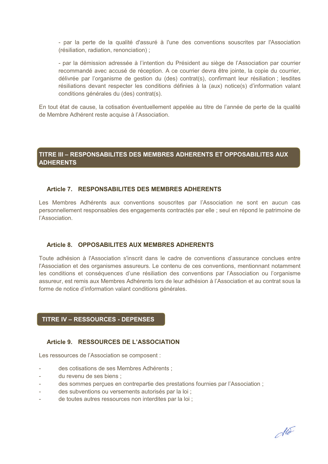- par la perte de la qualité d'assuré à l'une des conventions souscrites par l'Association (résiliation, radiation, renonciation) ;

- par la démission adressée à l'intention du Président au siège de l'Association par courrier recommandé avec accusé de réception. A ce courrier devra être jointe, la copie du courrier, délivrée par l'organisme de gestion du (des) contrat(s), confirmant leur résiliation ; lesdites résiliations devant respecter les conditions définies à la (aux) notice(s) d'information valant conditions générales du (des) contrat(s).

En tout état de cause, la cotisation éventuellement appelée au titre de l'année de perte de la qualité de Membre Adhérent reste acquise à l'Association.

## **TITRE III – RESPONSABILITES DES MEMBRES ADHERENTS ET OPPOSABILITES AUX ADHERENTS**

## **Article 7. RESPONSABILITES DES MEMBRES ADHERENTS**

Les Membres Adhérents aux conventions souscrites par l'Association ne sont en aucun cas personnellement responsables des engagements contractés par elle ; seul en répond le patrimoine de l'Association.

## **Article 8. OPPOSABILITES AUX MEMBRES ADHERENTS**

Toute adhésion à l'Association s'inscrit dans le cadre de conventions d'assurance conclues entre l'Association et des organismes assureurs. Le contenu de ces conventions, mentionnant notamment les conditions et conséquences d'une résiliation des conventions par l'Association ou l'organisme assureur, est remis aux Membres Adhérents lors de leur adhésion à l'Association et au contrat sous la forme de notice d'information valant conditions générales.

## **TITRE IV – RESSOURCES - DEPENSES**

## **Article 9. RESSOURCES DE L'ASSOCIATION**

Les ressources de l'Association se composent :

- des cotisations de ses Membres Adhérents ;
- du revenu de ses biens :
- des sommes perçues en contrepartie des prestations fournies par l'Association ;
- des subventions ou versements autorisés par la loi ;
- de toutes autres ressources non interdites par la loi ;

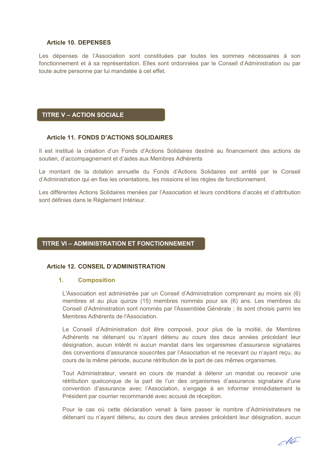## **Article 10. DEPENSES**

Les dépenses de l'Association sont constituées par toutes les sommes nécessaires à son fonctionnement et à sa représentation. Elles sont ordonnées par le Conseil d'Administration ou par toute autre personne par lui mandatée à cet effet.

## **TITRE V – ACTION SOCIALE**

#### **Article 11. FONDS D'ACTIONS SOLIDAIRES**

Il est institué la création d'un Fonds d'Actions Solidaires destiné au financement des actions de soutien, d'accompagnement et d'aides aux Membres Adhérents

Le montant de la dotation annuelle du Fonds d'Actions Solidaires est arrêté par le Conseil d'Administration qui en fixe les orientations, les missions et les règles de fonctionnement.

Les différentes Actions Solidaires menées par l'Association et leurs conditions d'accès et d'attribution sont définies dans le Règlement Intérieur.

## **TITRE VI – ADMINISTRATION ET FONCTIONNEMENT**

## **Article 12. CONSEIL D'ADMINISTRATION**

#### **1. Composition**

L'Association est administrée par un Conseil d'Administration comprenant au moins six (6) membres et au plus quinze (15) membres nommés pour six (6) ans. Les membres du Conseil d'Administration sont nommés par l'Assemblée Générale ; ils sont choisis parmi les Membres Adhérents de l'Association.

Le Conseil d'Administration doit être composé, pour plus de la moitié, de Membres Adhérents ne détenant ou n'ayant détenu au cours des deux années précédant leur désignation, aucun intérêt ni aucun mandat dans les organismes d'assurance signataires des conventions d'assurance souscrites par l'Association et ne recevant ou n'ayant reçu, au cours de la même période, aucune rétribution de la part de ces mêmes organismes.

Tout Administrateur, venant en cours de mandat à détenir un mandat ou recevoir une rétribution quelconque de la part de l'un des organismes d'assurance signataire d'une convention d'assurance avec l'Association, s'engage à en informer immédiatement le Président par courrier recommandé avec accusé de réception.

Pour le cas où cette déclaration venait à faire passer le nombre d'Administrateurs ne détenant ou n'ayant détenu, au cours des deux années précédant leur désignation, aucun

des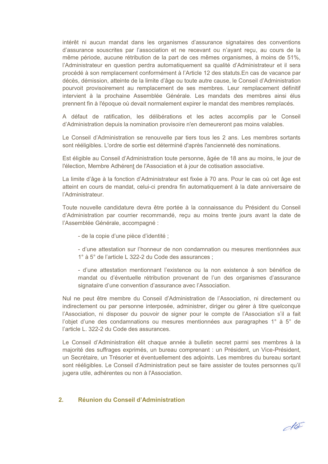intérêt ni aucun mandat dans les organismes d'assurance signataires des conventions d'assurance souscrites par l'association et ne recevant ou n'ayant reçu, au cours de la même période, aucune rétribution de la part de ces mêmes organismes, à moins de 51%, l'Administrateur en question perdra automatiquement sa qualité d'Administrateur et il sera procédé à son remplacement conformément à l'Article 12 des statuts.En cas de vacance par décès, démission, atteinte de la limite d'âge ou toute autre cause, le Conseil d'Administration pourvoit provisoirement au remplacement de ses membres. Leur remplacement définitif intervient à la prochaine Assemblée Générale. Les mandats des membres ainsi élus prennent fin à l'époque où devait normalement expirer le mandat des membres remplacés.

A défaut de ratification, les délibérations et les actes accomplis par le Conseil d'Administration depuis la nomination provisoire n'en demeureront pas moins valables.

Le Conseil d'Administration se renouvelle par tiers tous les 2 ans. Les membres sortants sont rééligibles. L'ordre de sortie est déterminé d'après l'ancienneté des nominations.

Est éligible au Conseil d'Administration toute personne, âgée de 18 ans au moins, le jour de l'élection, Membre Adhérent de l'Association et à jour de cotisation associative.

La limite d'âge à la fonction d'Administrateur est fixée à 70 ans. Pour le cas où cet âge est atteint en cours de mandat, celui-ci prendra fin automatiquement à la date anniversaire de l'Administrateur.

Toute nouvelle candidature devra être portée à la connaissance du Président du Conseil d'Administration par courrier recommandé, reçu au moins trente jours avant la date de l'Assemblée Générale, accompagné :

- de la copie d'une pièce d'identité ;

- d'une attestation sur l'honneur de non condamnation ou mesures mentionnées aux 1° à 5° de l'article L 322-2 du Code des assurances ;

- d'une attestation mentionnant l'existence ou la non existence à son bénéfice de mandat ou d'éventuelle rétribution provenant de l'un des organismes d'assurance signataire d'une convention d'assurance avec l'Association.

Nul ne peut être membre du Conseil d'Administration de l'Association, ni directement ou indirectement ou par personne interposée, administrer, diriger ou gérer à titre quelconque l'Association, ni disposer du pouvoir de signer pour le compte de l'Association s'il a fait l'objet d'une des condamnations ou mesures mentionnées aux paragraphes 1° à 5° de l'article L. 322-2 du Code des assurances.

Le Conseil d'Administration élit chaque année à bulletin secret parmi ses membres à la majorité des suffrages exprimés, un bureau comprenant : un Président, un Vice-Président, un Secrétaire, un Trésorier et éventuellement des adjoints. Les membres du bureau sortant sont rééligibles. Le Conseil d'Administration peut se faire assister de toutes personnes qu'il jugera utile, adhérentes ou non à l'Association.

## **2. Réunion du Conseil d'Administration**

dla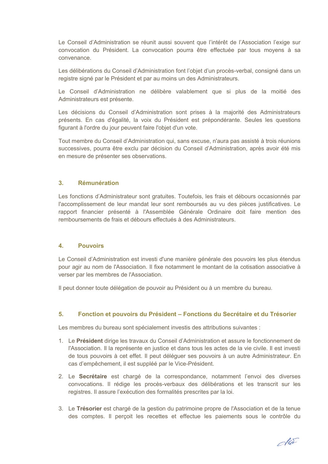Le Conseil d'Administration se réunit aussi souvent que l'intérêt de l'Association l'exige sur convocation du Président. La convocation pourra être effectuée par tous moyens à sa convenance.

Les délibérations du Conseil d'Administration font l'objet d'un procès-verbal, consigné dans un registre signé par le Président et par au moins un des Administrateurs.

Le Conseil d'Administration ne délibère valablement que si plus de la moitié des Administrateurs est présente.

Les décisions du Conseil d'Administration sont prises à la majorité des Administrateurs présents. En cas d'égalité, la voix du Président est prépondérante. Seules les questions figurant à l'ordre du jour peuvent faire l'objet d'un vote.

Tout membre du Conseil d'Administration qui, sans excuse, n'aura pas assisté à trois réunions successives, pourra être exclu par décision du Conseil d'Administration, après avoir été mis en mesure de présenter ses observations.

## **3. Rémunération**

Les fonctions d'Administrateur sont gratuites. Toutefois, les frais et débours occasionnés par l'accomplissement de leur mandat leur sont remboursés au vu des pièces justificatives. Le rapport financier présenté à l'Assemblée Générale Ordinaire doit faire mention des remboursements de frais et débours effectués à des Administrateurs.

## **4. Pouvoirs**

Le Conseil d'Administration est investi d'une manière générale des pouvoirs les plus étendus pour agir au nom de l'Association. Il fixe notamment le montant de la cotisation associative à verser par les membres de l'Association.

Il peut donner toute délégation de pouvoir au Président ou à un membre du bureau.

## **5. Fonction et pouvoirs du Président – Fonctions du Secrétaire et du Trésorier**

Les membres du bureau sont spécialement investis des attributions suivantes :

- 1. Le **Président** dirige les travaux du Conseil d'Administration et assure le fonctionnement de l'Association. Il la représente en justice et dans tous les actes de la vie civile. Il est investi de tous pouvoirs à cet effet. Il peut déléguer ses pouvoirs à un autre Administrateur. En cas d'empêchement, il est suppléé par le Vice-Président.
- 2. Le **Secrétaire** est chargé de la correspondance, notamment l'envoi des diverses convocations. Il rédige les procès-verbaux des délibérations et les transcrit sur les registres. Il assure l'exécution des formalités prescrites par la loi.
- 3. Le **Trésorier** est chargé de la gestion du patrimoine propre de l'Association et de la tenue des comptes. Il perçoit les recettes et effectue les paiements sous le contrôle du

do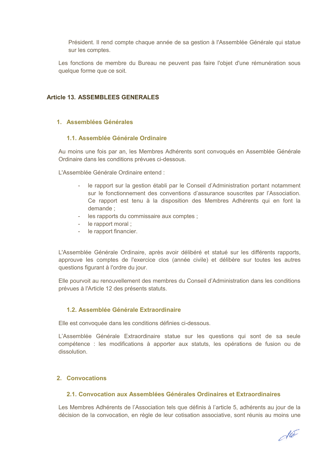Président. Il rend compte chaque année de sa gestion à l'Assemblée Générale qui statue sur les comptes.

Les fonctions de membre du Bureau ne peuvent pas faire l'objet d'une rémunération sous quelque forme que ce soit.

## **Article 13. ASSEMBLEES GENERALES**

## **1. Assemblées Générales**

## **1.1. Assemblée Générale Ordinaire**

Au moins une fois par an, les Membres Adhérents sont convoqués en Assemblée Générale Ordinaire dans les conditions prévues ci-dessous.

L'Assemblée Générale Ordinaire entend :

- le rapport sur la gestion établi par le Conseil d'Administration portant notamment sur le fonctionnement des conventions d'assurance souscrites par l'Association. Ce rapport est tenu à la disposition des Membres Adhérents qui en font la demande ;
- les rapports du commissaire aux comptes ;
- le rapport moral ;
- le rapport financier.

L'Assemblée Générale Ordinaire, après avoir délibéré et statué sur les différents rapports, approuve les comptes de l'exercice clos (année civile) et délibère sur toutes les autres questions figurant à l'ordre du jour.

Elle pourvoit au renouvellement des membres du Conseil d'Administration dans les conditions prévues à l'Article 12 des présents statuts.

## **1.2. Assemblée Générale Extraordinaire**

Elle est convoquée dans les conditions définies ci-dessous.

L'Assemblée Générale Extraordinaire statue sur les questions qui sont de sa seule compétence : les modifications à apporter aux statuts, les opérations de fusion ou de dissolution.

## **2. Convocations**

## **2.1. Convocation aux Assemblées Générales Ordinaires et Extraordinaires**

Les Membres Adhérents de l'Association tels que définis à l'article 5, adhérents au jour de la décision de la convocation, en règle de leur cotisation associative, sont réunis au moins une

dla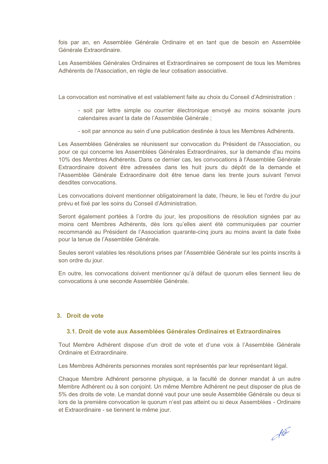fois par an, en Assemblée Générale Ordinaire et en tant que de besoin en Assemblée Générale Extraordinaire.

Les Assemblées Générales Ordinaires et Extraordinaires se composent de tous les Membres Adhérents de l'Association, en règle de leur cotisation associative.

La convocation est nominative et est valablement faite au choix du Conseil d'Administration :

- soit par lettre simple ou courrier électronique envoyé au moins soixante jours calendaires avant la date de l'Assemblée Générale ;
- soit par annonce au sein d'une publication destinée à tous les Membres Adhérents.

Les Assemblées Générales se réunissent sur convocation du Président de l'Association, ou pour ce qui concerne les Assemblées Générales Extraordinaires, sur la demande d'au moins 10% des Membres Adhérents. Dans ce dernier cas, les convocations à l'Assemblée Générale Extraordinaire doivent être adressées dans les huit jours du dépôt de la demande et l'Assemblée Générale Extraordinaire doit être tenue dans les trente jours suivant l'envoi desdites convocations.

Les convocations doivent mentionner obligatoirement la date, l'heure, le lieu et l'ordre du jour prévu et fixé par les soins du Conseil d'Administration.

Seront également portées à l'ordre du jour, les propositions de résolution signées par au moins cent Membres Adhérents, dès lors qu'elles aient été communiquées par courrier recommandé au Président de l'Association quarante-cinq jours au moins avant la date fixée pour la tenue de l'Assemblée Générale.

Seules seront valables les résolutions prises par l'Assemblée Générale sur les points inscrits à son ordre du jour.

En outre, les convocations doivent mentionner qu'à défaut de quorum elles tiennent lieu de convocations à une seconde Assemblée Générale.

## **3. Droit de vote**

## **3.1. Droit de vote aux Assemblées Générales Ordinaires et Extraordinaires**

Tout Membre Adhérent dispose d'un droit de vote et d'une voix à l'Assemblée Générale Ordinaire et Extraordinaire.

Les Membres Adhérents personnes morales sont représentés par leur représentant légal.

Chaque Membre Adhérent personne physique, a la faculté de donner mandat à un autre Membre Adhérent ou à son conjoint. Un même Membre Adhérent ne peut disposer de plus de 5% des droits de vote. Le mandat donné vaut pour une seule Assemblée Générale ou deux si lors de la première convocation le quorum n'est pas atteint ou si deux Assemblées - Ordinaire et Extraordinaire - se tiennent le même jour.

 $d\widetilde{d}$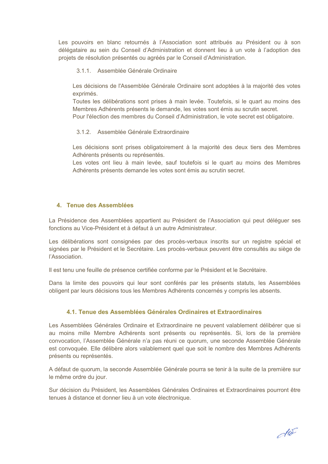Les pouvoirs en blanc retournés à l'Association sont attribués au Président ou à son délégataire au sein du Conseil d'Administration et donnent lieu à un vote à l'adoption des projets de résolution présentés ou agréés par le Conseil d'Administration.

3.1.1. Assemblée Générale Ordinaire

Les décisions de l'Assemblée Générale Ordinaire sont adoptées à la majorité des votes exprimés.

Toutes les délibérations sont prises à main levée. Toutefois, si le quart au moins des Membres Adhérents présents le demande, les votes sont émis au scrutin secret.

Pour l'élection des membres du Conseil d'Administration, le vote secret est obligatoire.

## 3.1.2. Assemblée Générale Extraordinaire

Les décisions sont prises obligatoirement à la majorité des deux tiers des Membres Adhérents présents ou représentés.

Les votes ont lieu à main levée, sauf toutefois si le quart au moins des Membres Adhérents présents demande les votes sont émis au scrutin secret.

## **4. Tenue des Assemblées**

La Présidence des Assemblées appartient au Président de l'Association qui peut déléguer ses fonctions au Vice-Président et à défaut à un autre Administrateur.

Les délibérations sont consignées par des procès-verbaux inscrits sur un registre spécial et signées par le Président et le Secrétaire. Les procès-verbaux peuvent être consultés au siège de l'Association.

Il est tenu une feuille de présence certifiée conforme par le Président et le Secrétaire.

Dans la limite des pouvoirs qui leur sont conférés par les présents statuts, les Assemblées obligent par leurs décisions tous les Membres Adhérents concernés y compris les absents.

## **4.1. Tenue des Assemblées Générales Ordinaires et Extraordinaires**

Les Assemblées Générales Ordinaire et Extraordinaire ne peuvent valablement délibérer que si au moins mille Membre Adhérents sont présents ou représentés. Si, lors de la première convocation, l'Assemblée Générale n'a pas réuni ce quorum, une seconde Assemblée Générale est convoquée. Elle délibère alors valablement quel que soit le nombre des Membres Adhérents présents ou représentés.

A défaut de quorum, la seconde Assemblée Générale pourra se tenir à la suite de la première sur le même ordre du jour.

Sur décision du Président, les Assemblées Générales Ordinaires et Extraordinaires pourront être tenues à distance et donner lieu à un vote électronique.

dla